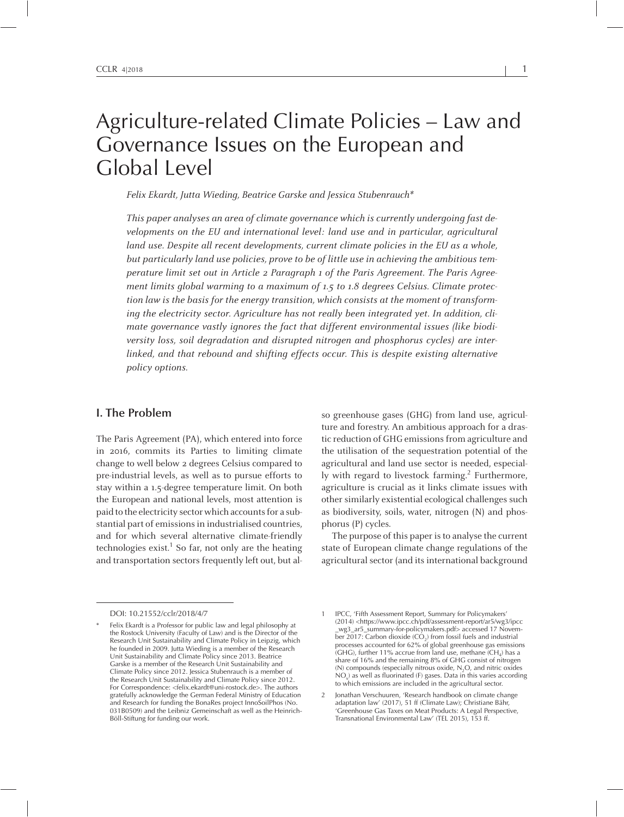# Agriculture-related Climate Policies – Law and Governance Issues on the European and Global Level

Felix Ekardt, Jutta Wieding, Beatrice Garske and Jessica Stubenrauch\*

This paper analyses an area of climate governance which is currently undergoing fast developments on the EU and international level: land use and in particular, agricultural land use. Despite all recent developments, current climate policies in the EU as <sup>a</sup> whole, but particularly land use policies, prove to be of little use in achieving the ambitious temperature limit set out in Article <sup>2</sup> Paragraph <sup>1</sup> of the Paris Agreement. The Paris Agreement limits global warming to a maximum of 1.5 to 1.8 degrees Celsius. Climate protection law is the basis for the energy transition, which consists at the moment of transforming the electricity sector. Agriculture has not really been integrated yet. In addition, climate governance vastly ignores the fact that different environmental issues (like biodiversity loss, soil degradation and disrupted nitrogen and phosphorus cycles) are interlinked, and that rebound and shifting effects occur. This is despite existing alternative policy options.

#### **I. The Problem**

The Paris Agreement (PA), which entered into force in 2016, commits its Parties to limiting climate change to well below <sup>2</sup> degrees Celsius compared to pre-industrial levels, as well as to pursue efforts to stay within <sup>a</sup> 1.5-degree temperature limit. On both the European and national levels, most attention is paid to the electricity sector which accountsfor <sup>a</sup> substantial part of emissions in industrialised countries, and for which several alternative climate-friendly technologies exist. 1 So far, not only are the heating and transportation sectors frequently left out, but al-

so greenhouse gases (GHG) from land use, agriculture and forestry. An ambitious approach for <sup>a</sup> drastic reduction of GHG emissions from agriculture and the utilisation of the sequestration potential of the agricultural and land use sector is needed, especially with regard to livestock farming. 2 Furthermore, agriculture is crucial as it links climate issues with other similarly existential ecological challenges such as biodiversity, soils, water, nitrogen (N) and phosphorus (P) cycles.

The purpose of this paper is to analyse the current state of European climate change regulations of the agricultural sector (and its international background

DOI: 10.21552/cclr/2018/4/7

<sup>\*</sup> Felix Ekardt is <sup>a</sup> Professor for public law and legal philosophy at the Rostock University (Faculty of Law) and is the Director of the Research Unit Sustainability and Climate Policy in Leipzig, which he founded in 2009. Jutta Wieding is <sup>a</sup> member of the Research Unit Sustainability and Climate Policy since 2013. Beatrice Garske is <sup>a</sup> member of the Research Unit Sustainability and Climate Policy since 2012. Jessica Stubenrauch is <sup>a</sup> member of the Research Unit Sustainability and Climate Policy since 2012. For Correspondence: <felix.ekardt@uni-rostock.de>. The authors gratefully acknowledge the German Federal Ministry of Education and Research for funding the BonaRes project InnoSoilPhos (No. 031B0509) and the Leibniz Gemeinschaft as well as the Heinrich-Böll-Stiftung for funding our work.

<sup>1</sup> IPCC, 'Fifth Assessment Report, Summary for Policymakers' (2014) <https://www.ipcc.ch/pdf/assessment-report/ar5/wg3/ipcc \_wg3\_ar5\_summary-for-policymakers.pdf> accessed <sup>17</sup> November 2017: Carbon dioxide (CO<sub>2</sub>) from fossil fuels and industrial processes accounted for 62% of global greenhouse gas emissions (GHG), further 11% accrue from land use, methane (CH<sub>4</sub>) has a share of 16% and the remaining 8% of GHG consist of nitrogen (N) compounds (especially nitrous oxide,  $N_2O$ , and nitric oxides  $NO_{x}$ ) as well as fluorinated (F) gases. Data in this varies according to which emissions are included in the agricultural sector.

<sup>2</sup> Jonathan Verschuuren, 'Research handbook on climate change adaptation law' (2017), <sup>51</sup> ff (Climate Law); Christiane Bähr, 'Greenhouse Gas Taxes on Meat Products: <sup>A</sup> Legal Perspective, Transnational Environmental Law' (TEL 2015), 153 ff.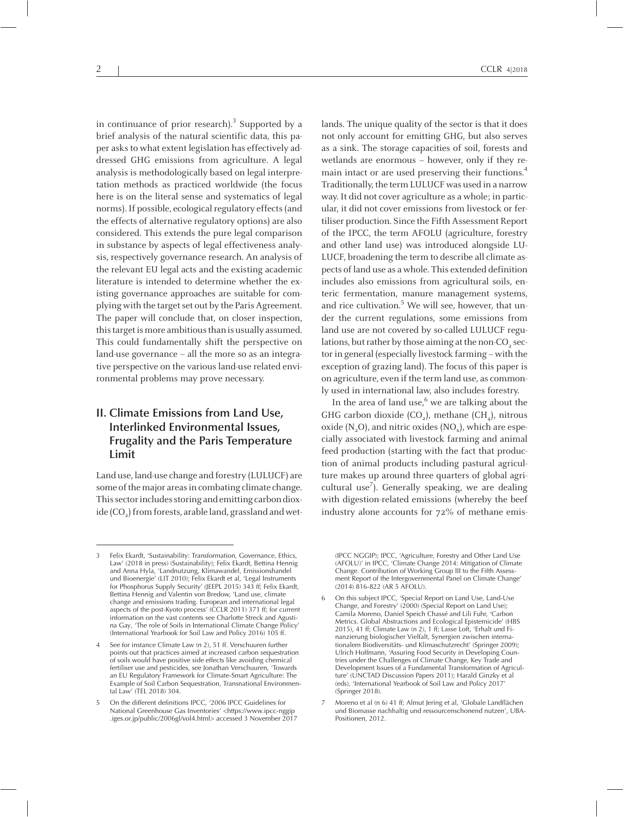in continuance of prior research). 3 Supported by <sup>a</sup> brief analysis of the natural scientific data, this paper asks to what extent legislation has effectively addressed GHG emissions from agriculture. <sup>A</sup> legal analysis is methodologically based on legal interpretation methods as practiced worldwide (the focus here is on the literal sense and systematics of legal norms). If possible, ecological regulatory effects (and the effects of alternative regulatory options) are also considered. This extends the pure legal comparison in substance by aspects of legal effectiveness analysis, respectively governance research. An analysis of the relevant EU legal acts and the existing academic literature is intended to determine whether the existing governance approaches are suitable for complying with the target set out by the Paris Agreement. The paper will conclude that, on closer inspection, this target is more ambitious than is usually assumed. This could fundamentally shift the perspective on land-use governance – all the more so as an integrative perspective on the various land-use related environmental problems may prove necessary.

# **II. Climate Emissions from Land Use, Interlinked Environmental Issues, Frugality and the Paris Temperature Limit**

Land use, land-use change and forestry (LULUCF) are some of the major areas in combating climate change. This sector includes storing and emitting carbon dioxide (CO $_{\textrm{\tiny{2}}})$  from forests, arable land, grassland and wet-

2  $|$  CCLR 4|2018

lands. The unique quality of the sector is that it does not only account for emitting GHG, but also serves as <sup>a</sup> sink. The storage capacities of soil, forests and wetlands are enormous – however, only if they remain intact or are used preserving their functions. 4 Traditionally, the termLULUCF was used in <sup>a</sup> narrow way. It did not cover agriculture as <sup>a</sup> whole; in particular, it did not cover emissions from livestock or fertiliser production. Since the Fifth Assessment Report of the IPCC, the term AFOLU (agriculture, forestry and other land use) was introduced alongside LU-LUCF, broadening the term to describe all climate aspects of land use as <sup>a</sup> whole. This extended definition includes also emissions from agricultural soils, enteric fermentation, manure managemen<sup>t</sup> systems, and rice cultivation. <sup>5</sup> We will see, however, that under the current regulations, some emissions from land use are not covered by so-called LULUCF regulations, but rather by those aiming at the non-CO<sub>2</sub> sector in general (especially livestock farming – with the exception of grazing land). The focus of this paper is on agriculture, even if the termland use, as commonly used in international law, also includes forestry.

In the area of land use, 6 we are talking about the GHG carbon dioxide (CO<sub>2</sub>), methane (CH<sub>4</sub>), nitrous oxide (N<sub>2</sub>O), and nitric oxides (NO<sub>x</sub>), which are especially associated with livestock farming and animal feed production (starting with the fact that production of animal products including pastural agriculture makes up around three quarters of global agricultural use 7 ). Generally speaking, we are dealing with digestion-related emissions (whereby the beef industry alone accounts for 72% of methane emis-

(IPCC NGGIP); IPCC, 'Agriculture, Forestry and Other Land Use (AFOLU)' in IPCC, 'Climate Change 2014: Mitigation of Climate Change. Contribution of Working Group III to the Fifth Assessment Report of the Intergovernmental Panel on Climate Change' (2014) 816-822 (AR 5 AFOLU).

<sup>3</sup> Felix Ekardt, 'Sustainability: Transformation, Governance, Ethics, Law' (2018 in press) (Sustainability); Felix Ekardt, Bettina Hennig and Anna Hyla, 'Landnutzung, Klimawandel, Emissionshandel und Bioenergie' (LIT 2010); Felix Ekardt et al, 'Legal Instruments for Phosphorus Supply Security' (JEEPL 2015) <sup>343</sup> ff; Felix Ekardt, Bettina Hennig and Valentin von Bredow, 'Land use, climate change and emissions trading. European and international legal aspects of the post-Kyoto process' (CCLR 2011) <sup>371</sup> ff; for current information on the vast contents see Charlotte Streck and Agustina Gay, 'The role of Soils in International Climate Change Policy' (International Yearbook for Soil Law and Policy 2016) <sup>105</sup> ff.

See for instance Climate Law (n 2), 51 ff. Verschuuren further points out that practices aimed at increased carbon sequestration of soils would have positive side effects like avoiding chemical fertiliser use and pesticides, see Jonathan Verschuuren, 'Towards an EU Regulatory Framework for Climate-Smart Agriculture: The Example of Soil Carbon Sequestration, Transnational Environmental Law' (TEL 2018) 304.

<sup>5</sup> On the different definitions IPCC, '2006 IPCC Guidelines for National Greenhouse Gas Inventories' <https://www.ipcc-nggip .iges.or.jp/public/2006gl/vol4.html> accessed <sup>3</sup> November <sup>2017</sup>

<sup>6</sup> On this subject IPCC, 'Special Report on Land Use, Land-Use Change, and Forestry' (2000) (Special Report on Land Use); Camila Moreno, Daniel Speich Chassé and Lili Fuhr, 'Carbon Metrics. Global Abstractions and Ecological Epistemicide' (HBS 2015), 41 ff; Climate Law (n 2), 1 ff; Lasse Loft, 'Erhalt und Finanzierung biologischer Vielfalt, Synergien zwischen internationalem Biodiversitäts- und Klimaschutzrecht' (Springer 2009); Ulrich Hoffmann, 'Assuring Food Security in Developing Countries under the Challenges of Climate Change, Key Trade and Development Issues of <sup>a</sup> Fundamental Transformation of Agriculture' (UNCTAD Discussion Papers 2011); Harald Ginzky et al (eds), 'International Yearbook of Soil Law and Policy 2017' (Springer 2018).

<sup>7</sup> Moreno et al (n 6) <sup>41</sup> ff; Almut Jering et al, 'Globale Landflächen und Biomasse nachhaltig und ressourcenschonend nutzen', UBA-Positionen, 2012.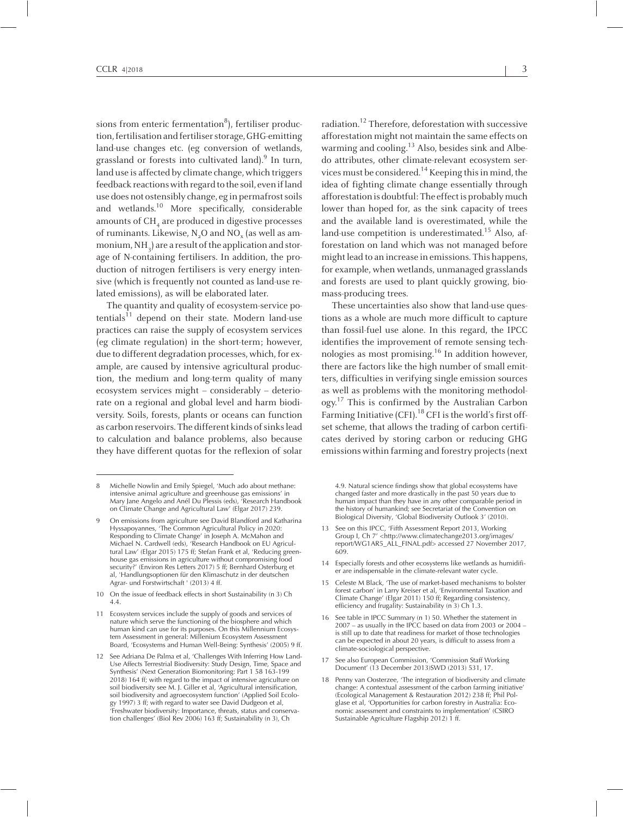sions from enteric fermentation $^8$ ), fertiliser production,fertilisationandfertiliserstorage,GHG-emitting land-use changes etc. (eg conversion of wetlands, grassland or forests into cultivated land). 9 In turn, land use is affected by climate change, which triggers feedback reactions with regard to the soil, even if land use does not ostensibly change, eg in permafrost soils and wetlands. <sup>10</sup> More specifically, considerable amounts of CH<sub>4</sub> are produced in digestive processes of ruminants. Likewise,  $\rm N_{2}O$  and  $\rm NO_{x}$  (as well as ammonium, NH $_{\textrm{\scriptsize{\textrm{3}}}}$ ) are a result of the application and storage of N-containing fertilisers. In addition, the production of nitrogen fertilisers is very energy intensive (which is frequently not counted as land-use related emissions), as will be elaborated later.

The quantity and quality of ecosystem-service potentials<sup>11</sup> depend on their state. Modern land-use practices can raise the supply of ecosystem services (eg climate regulation) in the short-term; however, due to different degradation processes, which, for example, are caused by intensive agricultural production, the medium and long-term quality of many ecosystem services might – considerably – deteriorate on <sup>a</sup> regional and global level and harm biodiversity. Soils, forests, plants or oceans can function as carbon reservoirs. The different kinds of sinks lead to calculation and balance problems, also because they have different quotas for the reflexion of solar

<sup>10</sup> On the issue of feedback effects in short Sustainability (n 3) Ch 4.4.

radiation. 12 Therefore, deforestation with successive afforestation might not maintain the same effects on warming and cooling.<sup>13</sup> Also, besides sink and Albedo attributes, other climate-relevant ecosystem services must be considered.<sup>14</sup> Keeping this in mind, the idea of fighting climate change essentially through afforestation is doubtful: The effect is probably much lower than hoped for, as the sink capacity of trees and the available land is overestimated, while the land-use competition is underestimated. 15 Also, afforestation on land which was not managed before might lead to an increase in emissions. This happens, for example, when wetlands, unmanaged grasslands and forests are used to plant quickly growing, biomass-producing trees.

These uncertainties also show that land-use questions as <sup>a</sup> whole are much more difficult to capture than fossil-fuel use alone. In this regard, the IPCC identifies the improvement of remote sensing technologies as most promising. 16 In addition however, there are factors like the high number of small emitters, difficulties in verifying single emission sources as well as problems with the monitoring methodology.<sup>17</sup> This is confirmed by the Australian Carbon Farming Initiative (CFI).<sup>18</sup> CFI is the world's first offset scheme, that allows the trading of carbon certificates derived by storing carbon or reducing GHG emissions within farming and forestry projects(next

4.9. Natural science findings show that global ecosystems have changed faster and more drastically in the pas<sup>t</sup> <sup>50</sup> years due to human impact than they have in any other comparable period in the history of humankind; see Secretariat of the Convention on Biological Diversity, 'Global Biodiversity Outlook 3' (2010).

- <sup>13</sup> See on this IPCC, 'Fifth Assessment Report 2013, Working Group I, Ch 7' <http://www.climatechange2013.org/images/ report/WG1AR5\_ALL\_FINAL.pdf> accessed <sup>27</sup> November 2017, 609.
- <sup>14</sup> Especially forests and other ecosystems like wetlands as humidifier are indispensable in the climate-relevant water cycle.
- 15 Celeste M Black, 'The use of market-based mechanisms to bolster forest carbon' in Larry Kreiser et al, 'Environmental Taxation and Climate Change' (Elgar 2011) <sup>150</sup> ff; Regarding consistency, efficiency and frugality: Sustainability (n 3) Ch 1.3.
- <sup>16</sup> See table in IPCC Summary (n 1) 50. Whether the statement in <sup>2007</sup> – as usually in the IPCC based on data from <sup>2003</sup> or <sup>2004</sup> – is still up to date that readiness for market of those technologies can be expected in about <sup>20</sup> years, is difficult to assess from <sup>a</sup> climate-sociological perspective.
- <sup>17</sup> See also European Commission, 'Commission Staff Working Document' (13 December 2013)SWD (2013) 531, 17.
- <sup>18</sup> Penny van Oosterzee, 'The integration of biodiversity and climate change: <sup>A</sup> contextual assessment of the carbon farming initiative' (Ecological Management & Restauration 2012) <sup>238</sup> ff; Phil Polglase et al, 'Opportunities for carbon forestry in Australia: Economic assessment and constraints to implementation' (CSIRO Sustainable Agriculture Flagship 2012) <sup>1</sup> ff.

<sup>8</sup> Michelle Nowlin and Emily Spiegel, 'Much ado about methane: intensive animal agriculture and greenhouse gas emissions' in Mary Jane Angelo and Anél Du Plessis (eds), 'Research Handbook on Climate Change and Agricultural Law' (Elgar 2017) 239.

<sup>9</sup> On emissions from agriculture see David Blandford and Katharina Hyssapoyannes, 'The Common Agricultural Policy in 2020: Responding to Climate Change' in Joseph A. McMahon and Michael N. Cardwell (eds), 'Research Handbook on EU Agricul-tural Law' (Elgar 2015) <sup>175</sup> ff; Stefan Frank et al, 'Reducing greenhouse gas emissions in agriculture without compromising food security?' (Environ Res Letters 2017) 5 ff; Bernhard Osterburg et al, 'Handlungsoptionen für den Klimaschutz in der deutschen Agrar- und Forstwirtschaft ' (2013) <sup>4</sup> ff.

<sup>11</sup> Ecosystem services include the supply of goods and services of nature which serve the functioning of the biosphere and which human kind can use for its purposes. On this Millennium Ecosystem Assessment in general: Millenium Ecosystem Assessment Board, 'Ecosystems and Human Well-Being: Synthesis' (2005) <sup>9</sup> ff.

<sup>12</sup> See Adriana De Palma et al, 'Challenges With Inferring How Land-Use Affects Terrestrial Biodiversity: Study Design, Time, Space and Synthesis' (Next Generation Biomonitoring: Part <sup>1</sup> <sup>58</sup> 163-199 2018) <sup>164</sup> ff; with regard to the impact of intensive agriculture on soil biodiversity see M. J. Giller et al, 'Agricultural intensification, soil biodiversity and agroecosystem function' (Applied Soil Ecology 1997) <sup>3</sup> ff; with regard to water see David Dudgeon et al, 'Freshwater biodiversity: Importance, threats, status and conservation challenges' (Biol Rev 2006) <sup>163</sup> ff; Sustainability (n 3), Ch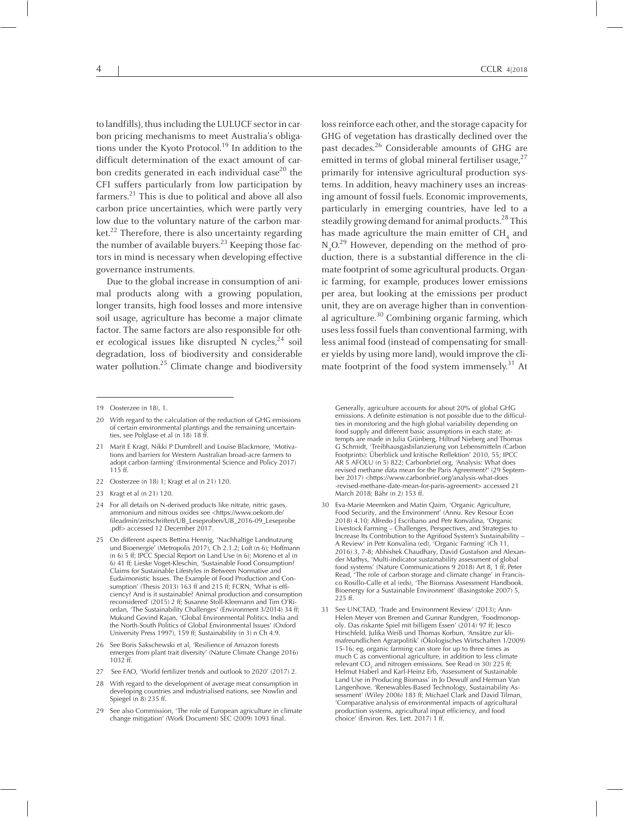to landfills), thus including the LULUCF sector in carbon pricing mechanisms to meet Australia's obligations under the Kyoto Protocol. 19 In addition to the difficult determination of the exact amount of carbon credits generated in each individual case<sup>20</sup> the CFI suffers particularly from low participation by farmers. 21 This is due to political and above all also carbon price uncertainties, which were partly very low due to the voluntary nature of the carbon market. 22 Therefore, there is also uncertainty regarding the number of available buyers. 23 Keeping those factors in mind is necessary when developing effective governance instruments.

Due to the global increase in consumption of animal products along with <sup>a</sup> growing population, longer transits, high food losses and more intensive soil usage, agriculture has become <sup>a</sup> major climate factor. The same factors are also responsible for other ecological issues like disrupted <sup>N</sup> cycles, 24 soil degradation, loss of biodiversity and considerable water pollution. 25 Climate change and biodiversity

loss reinforce each other, and the storage capacity for GHG of vegetation has drastically declined over the pas<sup>t</sup> decades. 26 Considerable amounts of GHG are emitted in terms of global mineral fertiliser usage,<sup>27</sup> primarily for intensive agricultural production systems. In addition, heavy machinery uses an increasing amount of fossil fuels. Economic improvements, particularly in emerging countries, have led to <sup>a</sup> steadily growing demand for animal products. 28 This has made agriculture the main emitter of CH<sub>4</sub> and  $N_2O^{29}$  However, depending on the method of production, there is <sup>a</sup> substantial difference in the climate footprint of some agricultural products. Organic farming, for example, produces lower emissions per area, but looking at the emissions per product unit, they are on average higher than in conventional agriculture. 30 Combining organic farming, which uses less fossil fuels than conventional farming, with less animal food (instead of compensating for smaller yields by using more land), would improve the climate footprint of the food system immensely.<sup>31</sup> At

- <sup>22</sup> Oosterzee (n 18) 1; Kragt et al (n 21) 120.
- <sup>23</sup> Kragt et al (n 21) 120.
- <sup>24</sup> For all details on N-derived products like nitrate, nitric gases, ammonium and nitrous oxides see <https://www.oekom.de/ fileadmin/zeitschriften/UB\_Leseproben/UB\_2016-09\_Leseprobe .pdf> accessed <sup>12</sup> December 2017.
- <sup>25</sup> On different aspects Bettina Hennig, 'Nachhaltige Landnutzung und Bioenergie' (Metropolis 2017), Ch 2.1.2; Loft (n 6); Hoffmann (n 6) <sup>5</sup> ff; IPCC Special Report on Land Use (n 6); Moreno et al (n 6) <sup>41</sup> ff; Lieske Voget-Kleschin, 'Sustainable Food Consumption? Claims for Sustainable Lifestyles in Between Normative and Eudaimonistic Issues. The Example of Food Production and Consumption' (Thesis 2013) <sup>163</sup> ff and <sup>215</sup> ff; FCRN, 'What is efficiency? And is it sustainable? Animal production and consumption reconsidered' (2015) 2 ff; Susanne Stoll-Kleemann and Tim O'Riordan, 'The Sustainability Challenges' (Environment 3/2014) <sup>34</sup> ff; Mukund Govind Rajan, 'Global Environmental Politics. India and the North-South Politics of Global Environmental Issues' (Oxford University Press 1997), <sup>159</sup> ff; Sustainability (n 3) <sup>n</sup> Ch 4.9.
- 26 See Boris Sakschewski et al, 'Resilience of Amazon forests emerges from plant trait diversity' (Nature Climate Change 2016) 1032 ff.
- 27 See FAO, 'World fertilizer trends and outlook to 2020' (2017) 2.
- With regard to the development of average meat consumption in developing countries and industrialised nations, see Nowlin and Spiegel (n 8) <sup>235</sup> ff.
- <sup>29</sup> See also Commission, 'The role of European agriculture in climate change mitigation' (Work Document) SEC (2009) <sup>1093</sup> final.

Generally, agriculture accounts for about 20% of global GHG emissions. <sup>A</sup> definite estimation is not possible due to the difficulties in monitoring and the high global variability depending on food supply and different basic assumptions in each state; attempts are made in Julia Grünberg, Hiltrud Nieberg and Thomas <sup>G</sup> Schmidt, 'Treibhausgasbilanzierung von Lebensmitteln (Carbon Footprints): Überblick und kritische Reflektion' 2010, 55; IPCC AR <sup>5</sup> AFOLU (n 5) 822; Carbonbrief.org, 'Analysis: What does revised methane data mean for the Paris Agreement?' (29 September 2017) <https://www.carbonbrief.org/analysis-what-does -revised-methane-date-mean-for-paris-agreement> accessed <sup>21</sup> March 2018; Bähr (n 2) 153 ff.

- <sup>30</sup> Eva-Marie Meemken and Matin Qaim, 'Organic Agriculture, Food Security, and the Environment' (Annu. Rev Resour Econ 2018) 4.10; Alfredo J Escribano and Petr Konvalina, 'Organic Livestock Farming – Challenges, Perspectives, and Strategies to Increase Its Contribution to the Agrifood System's Sustainability – <sup>A</sup> Review' in Petr Konvalina (ed), 'Organic Farming' (Ch 11, 2016) 3, 7-8; Abhishek Chaudhary, David Gustafson and Alexander Mathys, 'Multi-indicator sustainability assessment of global food systems' (Nature Communications  $9$  2018) Art 8, 1 ff; Peter Read, 'The role of carbon storage and climate change' in Francisco Rosillo-Calle et al (eds), 'The Biomass Assessment Handbook. Bioenergy for <sup>a</sup> Sustainable Environment' (Basingstoke 2007) 5, 225 ff.
- 31 See UNCTAD, 'Trade and Environment Review' (2013); Ann-Helen Meyer von Bremen and Gunnar Rundgren, 'Foodmonopoly. Das riskante Spiel mit billigem Essen' (2014) <sup>97</sup> ff; Jesco Hirschfeld*,* Julika Weiß und Thomas Korbun, 'Ansätze zur klimafreundlichen Agrarpolitik' (Ökologisches Wirtschaften 1/2009) 15-16; eg, organic farming can store for up to three times as much <sup>C</sup> as conventional agriculture, in addition to less climate relevant  $CO<sub>2</sub>$  and nitrogen emissions. See Read (n 30) 225 ff; Helmut Haberl and Karl-Heinz Erb, 'Assessment of Sustainable Land Use in Producing Biomass' in Jo Dewulf and Herman Van Langenhove, 'Renewables-Based Technology, Sustainability Assessment' (Wiley 2006) <sup>183</sup> ff; Michael Clark and David Tilman, 'Comparative analysis of environmental impacts of agricultural production systems, agricultural input efficiency, and food choice' (Environ. Res. Lett. 2017) 1 ff.

<sup>19</sup> Oosterzee (n 18), 1.

<sup>20</sup> With regard to the calculation of the reduction of GHG emissions of certain environmental plantings and the remaining uncertainties, see Polglase et al (n 18) 18 ff.

Marit E Kragt, Nikki P Dumbrell and Louise Blackmore, 'Motivations and barriers for Western Australian broad-acre farmers to adopt carbon farming' (Environmental Science and Policy 2017) 115 ff.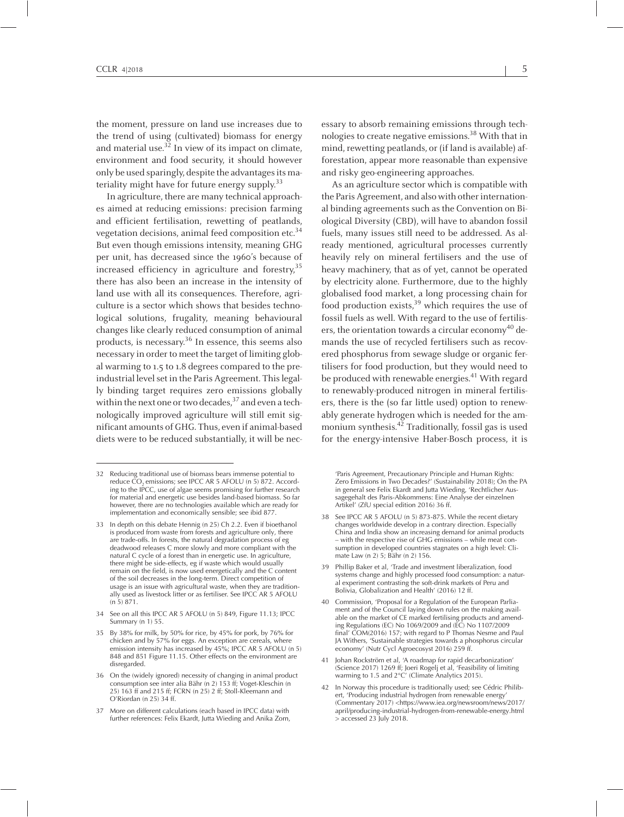the moment, pressure on land use increases due to the trend of using (cultivated) biomass for energy and material use.<sup>32</sup> In view of its impact on climate, environment and food security, it should however only be used sparingly, despite the advantages its materiality might have for future energy supply.<sup>33</sup>

In agriculture, there are many technical approaches aimed at reducing emissions: precision farming and efficient fertilisation, rewetting of peatlands, vegetation decisions, animal feed composition etc. 34 But even though emissions intensity, meaning GHG per unit, has decreased since the 1960's because of increased efficiency in agriculture and forestry, 35 there has also been an increase in the intensity of land use with all its consequences. Therefore, agriculture is <sup>a</sup> sector which shows that besides technological solutions, frugality, meaning behavioural changes like clearly reduced consumption of animal products, is necessary. 36 In essence, this seems also necessary in order to meet the target of limiting global warming to 1.5 to 1.8 degrees compared to the preindustrial level set in the Paris Agreement. This legally binding target requires zero emissions globally within the next one or two decades,<sup>37</sup> and even a technologically improved agriculture will still emit significant amounts of GHG. Thus, even if animal-based diets were to be reduced substantially, it will be nec-

essary to absorb remaining emissions through technologies to create negative emissions. <sup>38</sup> With that in mind, rewetting peatlands, or (if land is available) afforestation, appear more reasonable than expensive and risky geo-engineering approaches.

As an agriculture sector which is compatible with the Paris Agreement, and also with other international binding agreements such as the Convention on Biological Diversity (CBD), will have to abandon fossil fuels, many issues still need to be addressed. As already mentioned, agricultural processes currently heavily rely on mineral fertilisers and the use of heavy machinery, that as of yet, cannot be operated by electricity alone. Furthermore, due to the highly globalised food market, <sup>a</sup> long processing chain for food production exists, 39 which requires the use of fossil fuels as well. With regard to the use of fertilisers, the orientation towards a circular economy<sup>40</sup> demands the use of recycled fertilisers such as recovered phosphorus from sewage sludge or organic fertilisers for food production, but they would need to be produced with renewable energies. <sup>41</sup> With regar<sup>d</sup> to renewably-produced nitrogen in mineral fertilisers, there is the (so far little used) option to renewably generate hydrogen which is needed for the ammonium synthesis. 42 Traditionally, fossil gas is used for the energy-intensive Haber-Bosch process, it is

'Paris Agreement, Precautionary Principle and Human Rights: Zero Emissions in Two Decades?' (Sustainability 2018); On the PA in general see Felix Ekardt and Jutta Wieding, 'Rechtlicher Aussagegehalt des Paris-Abkommens: Eine Analyse der einzelnen Artikel' (ZfU special edition 2016) <sup>36</sup> ff.

- <sup>38</sup> See IPCC AR <sup>5</sup> AFOLU (n 5) 873-875. While the recent dietary changes worldwide develop in <sup>a</sup> contrary direction. Especially China and India show an increasing demand for animal products – with the respective rise of GHG emissions – while meat consumption in developed countries stagnates on <sup>a</sup> high level: Climate Law (n 2) 5; Bähr (n 2) 156.
- <sup>39</sup> Phillip Baker et al, 'Trade and investment liberalization, food systems change and highly processed food consumption: <sup>a</sup> natural experiment contrasting the soft-drink markets of Peru and Bolivia, Globalization and Health' (2016) 12 ff.
- <sup>40</sup> Commission, 'Proposal for <sup>a</sup> Regulation of the European Parliament and of the Council laying down rules on the making available on the market of CE marked fertilising products and amending Regulations (EC) No 1069/2009 and (EC) No 1107/2009 final' COM(2016) 157; with regard to <sup>P</sup> Thomas Nesme and Paul JA Withers, 'Sustainable strategies towards <sup>a</sup> phosphorus circular economy' (Nutr Cycl Agroecosyst 2016) <sup>259</sup> ff.
- <sup>41</sup> Johan Rockström et al, 'A roadmap for rapid decarbonization' (Science 2017) <sup>1269</sup> ff; Joeri Rogelj et al, 'Feasibility of limiting warming to 1.5 and 2°C' (Climate Analytics 2015).
- <sup>42</sup> In Norway this procedure is traditionally used; see Cédric Philibert, 'Producing industrial hydrogen from renewable energy' (Commentary 2017) <https://www.iea.org/newsroom/news/2017/ april/producing-industrial-hydrogen-from-renewable-energy.html <sup>&</sup>gt; accessed <sup>23</sup> July 2018.

<sup>32</sup> Reducing traditional use of biomass bears immense potential to reduce  $\text{CO}_2$  emissions; see IPCC AR 5 AFOLU (n 5) 872. According to the IPCC, use of algae seems promising for further research for material and energetic use besides land-based biomass. So far however, there are no technologies available which are ready for implementation and economically sensible; see ibid 877.

<sup>33</sup> In depth on this debate Hennig (n 25) Ch 2.2. Even if bioethanol is produced from waste from forests and agriculture only, there are trade-offs. In forests, the natural degradation process of eg deadwood releases C more slowly and more compliant with the natural <sup>C</sup> cycle of <sup>a</sup> forest than in energetic use. In agriculture, there might be side-effects, eg if waste which would usually remain on the field, is now used energetically and the <sup>C</sup> content of the soil decreases in the long-term. Direct competition of usage is an issue with agricultural waste, when they are traditionally used as livestock litter or as fertiliser. See IPCC AR <sup>5</sup> AFOLU (n 5) 871.

<sup>34</sup> See on all this IPCC AR <sup>5</sup> AFOLU (n 5) 849, Figure 11.13; IPCC Summary (n 1) 55.

<sup>35</sup> By 38% for milk, by 50% for rice, by 45% for pork, by 76% for chicken and by 57% for eggs. An exception are cereals, where emission intensity has increased by 45%; IPCC AR <sup>5</sup> AFOLU (n 5) <sup>848</sup> and <sup>851</sup> Figure 11.15. Other effects on the environment are disregarded.

<sup>36</sup> On the (widely ignored) necessity of changing in animal product consumption see inter alia Bähr (n 2) <sup>153</sup> ff; Voget-Kleschin (n 25) 163 ff and 215 ff; FCRN (n 25) 2 ff; Stoll-Kleemann and O'Riordan (n 25) 34 ff.

<sup>37</sup> More on different calculations (each based in IPCC data) with further references: Felix Ekardt, Jutta Wieding and Anika Zorn,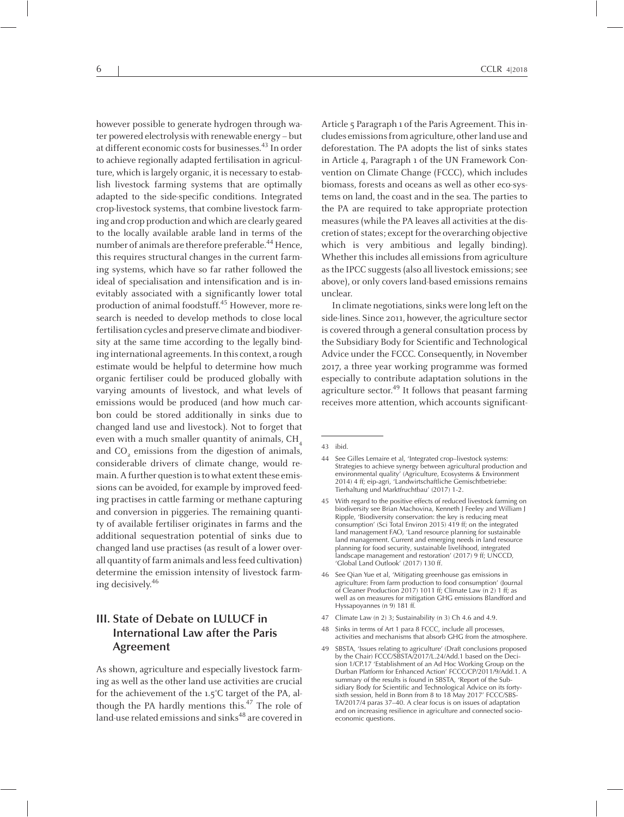however possible to generate hydrogen through water powered electrolysis with renewable energy – but at different economic costs for businesses.<sup>43</sup> In order to achieve regionally adapted fertilisation in agriculture, which is largely organic, it is necessary to establish livestock farming systems that are optimally adapted to the side-specific conditions. Integrated crop-livestock systems, that combine livestock farming and crop production and which are clearly geared to the locally available arable land in terms of the number of animals are therefore preferable.<sup>44</sup> Hence, this requires structural changes in the current farming systems, which have so far rather followed the ideal of specialisation and intensification and is inevitably associated with <sup>a</sup> significantly lower total production of animal foodstuff. 45 However, more research is needed to develop methods to close local fertilisation cycles and preserve climate and biodiversity at the same time according to the legally binding international agreements.In this context, <sup>a</sup> rough estimate would be helpful to determine how much organic fertiliser could be produced globally with varying amounts of livestock, and what levels of emissions would be produced (and how much carbon could be stored additionally in sinks due to changed land use and livestock). Not to forget that even with a much smaller quantity of animals,  $CH<sub>4</sub>$ and CO<sub>2</sub> emissions from the digestion of animals, considerable drivers of climate change, would remain. A further question is to what extent these emissions can be avoided, for example by improved feeding practises in cattle farming or methane capturing and conversion in piggeries. The remaining quantity of available fertiliser originates in farms and the additional sequestration potential of sinks due to changed land use practises (as result of <sup>a</sup> lower overall quantity of farm animals and less feed cultivation) determine the emission intensity of livestock farming decisively. 46

# **III. State of Debate on LULUCF in International Law after the Paris Agreement**

As shown, agriculture and especially livestock farming as well as the other land use activities are crucial for the achievement of the 1.5°C target of the PA, although the PA hardly mentions this. 47 The role of land-use related emissions and sinks 48 are covered in

Article <sup>5</sup> Paragraph <sup>1</sup> of the Paris Agreement. Thisincludes emissionsfromagriculture, otherland use and deforestation. The PA adopts the list of sinks states in Article 4, Paragraph <sup>1</sup> of the UN Framework Convention on Climate Change (FCCC), which includes biomass, forests and oceans as well as other eco-systems on land, the coast and in the sea. The parties to the PA are required to take appropriate protection measures(while the PA leaves all activities at the discretion of states; except for the overarching objective which is very ambitious and legally binding). Whether this includes all emissions from agriculture as the IPCC suggests (also all livestock emissions; see above), or only covers land-based emissions remains unclear.

In climate negotiations, sinks were long left on the side-lines. Since 2011, however, the agriculture sector is covered through <sup>a</sup> general consultation process by the Subsidiary Body for Scientific and Technological Advice under the FCCC. Consequently, in November 2017, <sup>a</sup> three year working programme was formed especially to contribute adaptation solutions in the agriculture sector.<sup>49</sup> It follows that peasant farming receives more attention, which accounts significant-

- <sup>45</sup> With regard to the positive effects of reduced livestock farming on biodiversity see Brian Machovina, Kenneth J Feeley and William J Ripple, 'Biodiversity conservation: the key is reducing meat consumption' (Sci Total Environ 2015) <sup>419</sup> ff; on the integrated land managemen<sup>t</sup> FAO, 'Land resource planning for sustainable land management. Current and emerging needs in land resource planning for food security, sustainable livelihood, integrated landscape managemen<sup>t</sup> and restoration' (2017) <sup>9</sup> ff; UNCCD, 'Global Land Outlook' (2017) 130 ff.
- See Qian Yue et al, 'Mitigating greenhouse gas emissions in agriculture: From farm production to food consumption' (Journal of Cleaner Production 2017) 1011 ff; Climate Law (n 2) 1 ff; as well as on measures for mitigation GHG emissions Blandford and Hyssapoyannes (n 9) <sup>181</sup> ff*.*
- <sup>47</sup> Climate Law (n 2) 3; Sustainability (n 3) Ch 4.6 and 4.9.
- <sup>48</sup> Sinks in terms of Art <sup>1</sup> para <sup>8</sup> FCCC, include all processes, activities and mechanisms that absorb GHG from the atmosphere.
- <sup>49</sup> SBSTA, 'Issues relating to agriculture' (Draft conclusions proposed by the Chair) FCCC/SBSTA/2017/L.24/Add.1 based on the Decision 1/CP.17 'Establishment of an Ad Hoc Working Group on the Durban Platform for Enhanced Action' FCCC/CP/2011/9/Add.1. A summary of the results is found in SBSTA, 'Report of the Subsidiary Body for Scientific and Technological Advice on its fortysixth session, held in Bonn from <sup>8</sup> to <sup>18</sup> May 2017' FCCC/SBS-TA/2017/4 paras 37–40. <sup>A</sup> clear focus is on issues of adaptation and on increasing resilience in agriculture and connected socioeconomic questions.

<sup>43</sup> ibid.

<sup>44</sup> See Gilles Lemaire et al, 'Integrated crop–livestock systems: Strategies to achieve synergy between agricultural production and environmental quality' (Agriculture, Ecosystems & Environment 2014) <sup>4</sup> ff; eip-agri, 'Landwirtschaftliche Gemischtbetriebe: Tierhaltung und Marktfruchtbau' (2017) 1-2.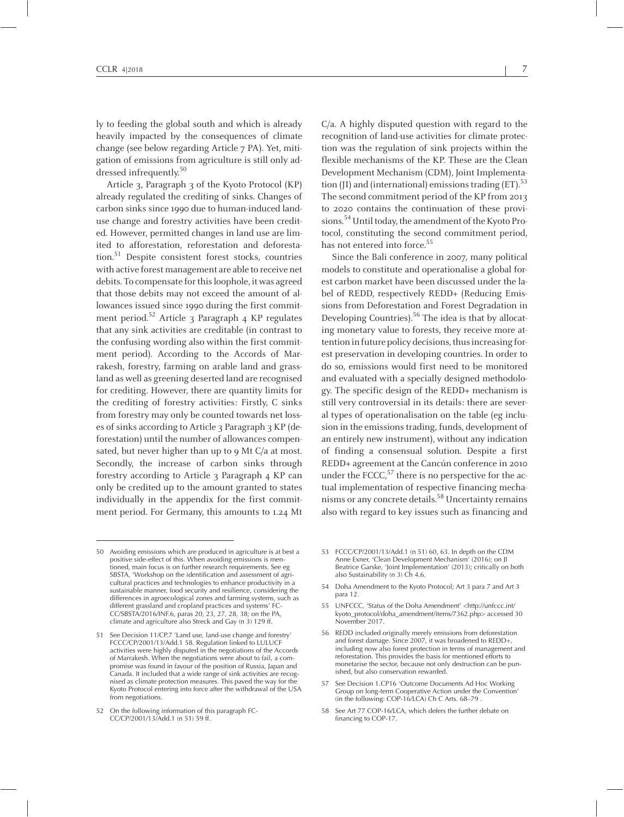ly to feeding the global south and which is already heavily impacted by the consequences of climate change (see below regarding Article <sup>7</sup> PA). Yet, mitigation of emissions from agriculture is still only addressed infrequently. 50

Article 3, Paragraph <sup>3</sup> of the Kyoto Protocol (KP) already regulated the crediting of sinks. Changes of carbon sinks since 1990 due to human-induced landuse change and forestry activities have been credited. However, permitted changes in land use are limited to afforestation, reforestation and deforestation. 51 Despite consistent forest stocks, countries with active forest management are able to receive net debits. To compensate for this loophole, it was agreed that those debits may not exceed the amount of allowances issued since 1990 during the first commitment period. 52 Article <sup>3</sup> Paragraph 4 KP regulates that any sink activities are creditable (in contrast to the confusing wording also within the first commitment period). According to the Accords of Marrakesh, forestry, farming on arable land and grassland as well as greening deserted land are recognised for crediting. However, there are quantity limits for the crediting of forestry activities: Firstly, <sup>C</sup> sinks from forestry may only be counted towards net losses of sinks according to Article 3 Paragraph 3 KP (deforestation) until the number of allowances compensated, but never higher than up to 9 Mt C/a at most. Secondly, the increase of carbon sinks through forestry according to Article <sup>3</sup> Paragraph 4 KP can only be credited up to the amount granted to states individually in the appendix for the first commitment period. For Germany, this amounts to 1.24 Mt

C/a. <sup>A</sup> highly disputed question with regard to the recognition of land-use activities for climate protection was the regulation of sink projects within the flexible mechanisms of the KP. These are the Clean Development Mechanism(CDM), Joint Implementation (JI) and (international) emissions trading (ET). $^{53}$ The second commitment period of the KP from 2013 to <sup>2020</sup> contains the continuation of these provisions.<sup>54</sup> Until today, the amendment of the Kyoto Protocol, constituting the second commitment period, has not entered into force. 55

Since the Bali conference in 2007, many political models to constitute and operationalise <sup>a</sup> global forest carbon market have been discussed under the label of REDD, respectively REDD+ (Reducing Emissions from Deforestation and Forest Degradation in Developing Countries). 56 The idea is that by allocating monetary value to forests, they receive more attention in future policy decisions, thus increasing forest preservation in developing countries. In order to do so, emissions would first need to be monitored and evaluated with <sup>a</sup> specially designed methodology. The specific design of the REDD+ mechanism is still very controversial in its details: there are several types of operationalisation on the table (eg inclusion in the emissions trading, funds, development of an entirely new instrument), without any indication of finding <sup>a</sup> consensual solution. Despite <sup>a</sup> first REDD+ agreemen<sup>t</sup> at the Cancún conference in <sup>2010</sup> under the  $\text{FCCC},^{57}$  there is no perspective for the actual implementation of respective financing mechanisms or any concrete details. 58 Uncertainty remains also with regard to key issues such as financing and

- <sup>53</sup> FCCC/CP/2001/13/Add.1 (n 51) 60, 63. In depth on the CDM Anne Exner, 'Clean Development Mechanism' (2016); on JI Beatrice Garske, 'Joint Implementation' (2013); critically on both also Sustainability (n 3) Ch 4.6.
- <sup>54</sup> Doha Amendment to the Kyoto Protocol; Art <sup>3</sup> para <sup>7</sup> and Art <sup>3</sup> para 12.
- <sup>55</sup> UNFCCC, 'Status of the Doha Amendment' <http://unfccc.int/ kyoto\_protocol/doha\_amendment/items/7362.php> accessed <sup>30</sup> November 2017.
- <sup>56</sup> REDD included originally merely emissions from deforestation and forest damage. Since 2007, it was broadened to REDD+, including now also forest protection in terms of managemen<sup>t</sup> and reforestation. This provides the basis for mentioned efforts to monetarise the sector, because not only destruction can be punished, but also conservation rewarded.
- <sup>57</sup> See Decision 1.CP16 'Outcome Documents Ad Hoc Working Group on long-term Cooperative Action under the Convention' (in the following: COP-16/LCA) Ch <sup>C</sup> Arts. 68–79 .
- 58 See Art 77 COP-16/LCA, which defers the further debate on financing to COP-17.

<sup>50</sup> Avoiding emissions which are produced in agriculture is at best <sup>a</sup> positive side-effect of this. When avoiding emissions is mentioned, main focus is on further research requirements. See eg SBSTA, 'Workshop on the identification and assessment of agricultural practices and technologies to enhance productivity in <sup>a</sup> sustainable manner, food security and resilience, considering the differences in agroecological zones and farming systems, such as different grassland and cropland practices and systems' FC-CC/SBSTA/2016/INF.6, paras 20, 23, 27, 28, 38; on the PA, climate and agriculture also Streck and Gay (n 3) <sup>129</sup> ff.

<sup>51</sup> See Decision 11/CP.7 'Land use, land-use change and forestry' FCCC/CP/2001/13/Add.1 58. Regulation linked to LULUCF activities were highly disputed in the negotiations of the Accords of Marrakesh. When the negotiations were about to fail, <sup>a</sup> compromise was found in favour of the position of Russia, Japan and Canada. It included that <sup>a</sup> wide range of sink activities are recognised as climate protection measures. This paved the way for the Kyoto Protocol entering into force after the withdrawal of the USA from negotiations.

<sup>52</sup> On the following information of this paragraph FC-CC/CP/2001/13/Add.1 (n 51) 59 ff.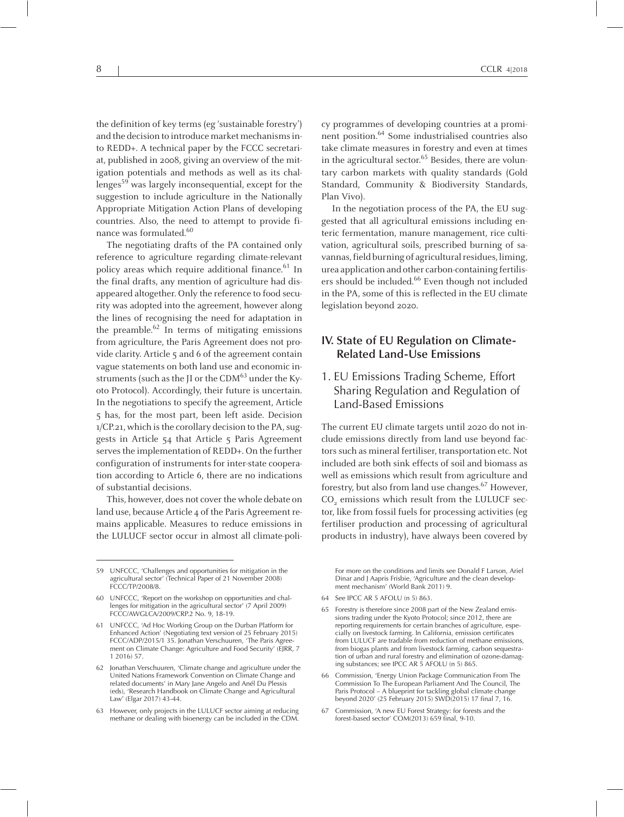the definition of key terms (eg 'sustainable forestry') and the decision to introduce market mechanisms into REDD+. A technical paper by the FCCC secretariat, published in 2008, giving an overview of the mitigation potentials and methods as well as its challenges 59 was largely inconsequential, excep<sup>t</sup> for the suggestion to include agriculture in the Nationally Appropriate Mitigation Action Plans of developing countries. Also, the need to attempt to provide finance was formulated.<sup>60</sup>

The negotiating drafts of the PA contained only reference to agriculture regarding climate-relevant policy areas which require additional finance. 61 In the final drafts, any mention of agriculture had disappeared altogether. Only the reference to food security was adopted into the agreement, however along the lines of recognising the need for adaptation in the preamble. 62 In terms of mitigating emissions from agriculture, the Paris Agreement does not provide clarity. Article <sup>5</sup> and <sup>6</sup> of the agreemen<sup>t</sup> contain vague statements on both land use and economic instruments (such as the JI or the CDM $^{63}$  under the Kyoto Protocol). Accordingly, their future is uncertain. In the negotiations to specify the agreement, Article 5 has, for the most part, been left aside. Decision  $1/CP.21$ , which is the corollary decision to the PA, suggests in Article 54 that Article <sup>5</sup> Paris Agreement serves the implementation of REDD+. On the further configuration of instruments for inter-state cooperation according to Article 6, there are no indications of substantial decisions.

This, however, does not cover the whole debate on land use, because Article 4 of the Paris Agreement remains applicable. Measures to reduce emissions in the LULUCF sector occur in almost all climate-poli-

cy programmes of developing countries at <sup>a</sup> prominent position. 64 Some industrialised countries also take climate measures in forestry and even at times in the agricultural sector. 65 Besides, there are voluntary carbon markets with quality standards (Gold Standard, Community & Biodiversity Standards, Plan Vivo).

In the negotiation process of the PA, the EU suggested that all agricultural emissions including enteric fermentation, manure management, rice cultivation, agricultural soils, prescribed burning of savannas, field burning of agricultural residues, liming, urea application and other carbon-containing fertilisers should be included. 66 Even though not included in the PA, some of this is reflected in the EU climate legislation beyond 2020.

## **IV. State of EU Regulation on Climate-Related Land-Use Emissions**

#### 1. EU Emissions Trading Scheme, Effort Sharing Regulation and Regulation of Land-Based Emissions

The current EU climate targets until <sup>2020</sup> do not include emissions directly from land use beyond factors such as mineral fertiliser, transportation etc. Not included are both sink effects of soil and biomass as well as emissions which result from agriculture and forestry, but also from land use changes. 67 However, CO<sub>2</sub> emissions which result from the LULUCF sector, like from fossil fuels for processing activities (eg fertiliser production and processing of agricultural products in industry), have always been covered by

For more on the conditions and limits see Donald F Larson, Ariel Dinar and J Aapris Frisbie, 'Agriculture and the clean development mechanism' (World Bank 2011) 9.

Commission, 'A new EU Forest Strategy: for forests and the forest-based sector' COM(2013) 659 final, 9-10.

<sup>59</sup> UNFCCC, 'Challenges and opportunities for mitigation in the agricultural sector' (Technical Paper of <sup>21</sup> November 2008) FCCC/TP/2008/8.

UNFCCC, 'Report on the workshop on opportunities and challenges for mitigation in the agricultural sector' (7 April 2009) FCCC/AWGLCA/2009/CRP.2 No. 9, 18-19.

<sup>61</sup> UNFCCC, 'Ad Hoc Working Group on the Durban Platform for Enhanced Action' (Negotiating text version of <sup>25</sup> February 2015) FCCC/ADP/2015/1 35. Jonathan Verschuuren, 'The Paris Agreement on Climate Change: Agriculture and Food Security' (EJRR, <sup>7</sup> 1 2016) 57.

<sup>62</sup> Jonathan Verschuuren, 'Climate change and agriculture under the United Nations Framework Convention on Climate Change and related documents' in Mary Jane Angelo and Anél Du Plessis (eds), 'Research Handbook on Climate Change and Agricultural Law' (Elgar 2017) 43-44.

<sup>63</sup> However, only projects in the LULUCF sector aiming at reducing methane or dealing with bioenergy can be included in the CDM.

<sup>64</sup> See IPCC AR 5 AFOLU (n 5) 863.

Forestry is therefore since 2008 part of the New Zealand emissions trading under the Kyoto Protocol; since 2012, there are reporting requirements for certain branches of agriculture, especially on livestock farming. In California, emission certificates from LULUCF are tradable from reduction of methane emissions, from biogas plants and from livestock farming, carbon sequestration of urban and rural forestry and elimination of ozone-damaging substances; see IPCC AR <sup>5</sup> AFOLU (n 5) 865.

<sup>66</sup> Commission, 'Energy Union Package Communication From The Commission To The European Parliament And The Council, The Paris Protocol – <sup>A</sup> blueprint for tackling global climate change beyond 2020' (25 February 2015) SWD(2015) <sup>17</sup> final 7, 16.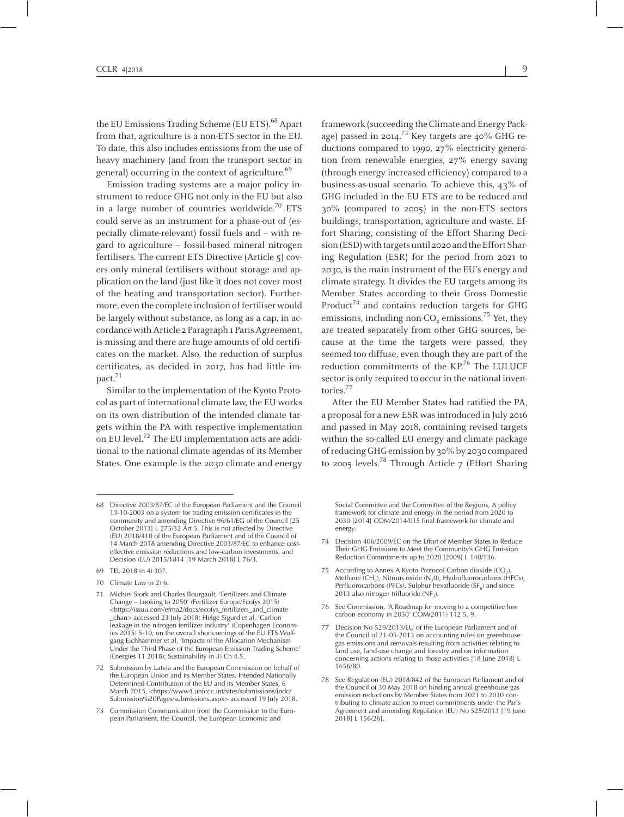the EU Emissions Trading Scheme (EU ETS).<sup>68</sup> Apart from that, agriculture is <sup>a</sup> non-ETS sector in the EU. To date, this also includes emissions from the use of heavy machinery (and from the transport sector in general) occurring in the context of agriculture.<sup>69</sup>

Emission trading systems are <sup>a</sup> major policy instrument to reduce GHG not only in the EU but also in a large number of countries worldwide.<sup>70</sup> ETS could serve as an instrument for <sup>a</sup> phase-out of (especially climate-relevant) fossil fuels and – with regard to agriculture – fossil-based mineral nitrogen fertilisers. The current ETS Directive (Article 5) covers only mineral fertilisers without storage and application on the land (just like it does not cover most of the heating and transportation sector). Furthermore, even the complete inclusion of fertiliser would be largely without substance, as long as <sup>a</sup> cap, in accordance with Article 2 Paragraph 1 Paris Agreement, is missing and there are huge amounts of old certificates on the market. Also, the reduction of surplus certificates, as decided in 2017, has had little impact.<sup>71</sup>

Similar to the implementation of the Kyoto Protocol as par<sup>t</sup> of international climate law, the EU works on its own distribution of the intended climate targets within the PA with respective implementation on EU level. 72 The EU implementation acts are additional to the national climate agendas of its Member States. One example is the 2030 climate and energy

framework (succeeding the Climate and Energy Package) passed in 2014.<sup>73</sup> Key targets are 40% GHG reductions compared to 1990, <sup>27</sup>% electricity generation from renewable energies, <sup>27</sup>% energy saving (through energy increased efficiency) compared to <sup>a</sup> business-as-usual scenario. To achieve this, 43% of GHG included in the EU ETS are to be reduced and 30% (compared to 2005) in the non-ETS sectors buildings, transportation, agriculture and waste. Effort Sharing, consisting of the Effort Sharing Decision (ESD) with targets until 2020 and the Effort Sharing Regulation (ESR) for the period from <sup>2021</sup> to 2030, is the main instrument of the EU's energy and climate strategy. It divides the EU targets among its Member States according to their Gross Domestic Product<sup>74</sup> and contains reduction targets for GHG emissions, including non-CO<sub>2</sub> emissions.<sup>75</sup> Yet, they are treated separately from other GHG sources, because at the time the targets were passed, they seemed too diffuse, even though they are par<sup>t</sup> of the reduction commitments of the KP.<sup>76</sup> The LULUCF sector is only required to occur in the national inventories. 77

After the EU Member States had ratified the PA, <sup>a</sup> proposal for <sup>a</sup> new ESR wasintroduced in July 2016 and passed in May 2018, containing revised targets within the so-called EU energy and climate package ofreducingGHGemissionby 30%by 2030 compared to 2005 levels. 78 Through Article <sup>7</sup> (Effort Sharing

70 Climate Law (n 2) 6.

Social Committee and the Committee of the Regions, <sup>A</sup> policy framework for climate and energy in the period from <sup>2020</sup> to 2030 [2014] COM/2014/015 final framework for climate and energy.

- 74 Decision 406/2009/EC on the Effort of Member States to Reduce Their GHG Emissions to Meet the Community's GHG Emission Reduction Commitments up to <sup>2020</sup> [2009] <sup>L</sup> 140/136.
- 75 According to Annex A Kyoto Protocol Carbon dioxide  $(CO_2)$ Methane (CH<sub>4</sub>), Nitrous oxide (N<sub>2</sub>0), Hydrofluorocarbons (HFCs)<sub>,</sub> Perfluorocarbons (PFCs), Sulphur hexafluoride (SF<sub>6</sub>) and since 2013 also nitrogen trifluoride (NF<sub>3</sub>).
- <sup>76</sup> See Commission, 'A Roadmap for moving to <sup>a</sup> competitive low carbon economy in 2050' COM(2011) 112 5, 9.
- <sup>77</sup> Decision No 529/2013/EU of the European Parliament and of the Council of 21-05-2013 on accounting rules on greenhouse gas emissions and removals resulting from activities relating to land use, land-use change and forestry and on information concerning actions relating to those activities [18 June 2018] <sup>L</sup> 1656/80.
- <sup>78</sup> See Regulation (EU) 2018/842 of the European Parliament and of the Council of <sup>30</sup> May <sup>2018</sup> on binding annual greenhouse gas emission reductions by Member States from <sup>2021</sup> to <sup>2030</sup> contributing to climate action to meet commitments under the Paris Agreement and amending Regulation (EU) No 525/2013 [19 June 2018] L 156/26].

<sup>68</sup> Directive 2003/87/EC of the European Parliament and the Council 13-10-2003 on <sup>a</sup> system for trading emission certificates in the community and amending Directive 96/61/EG of the Council [25 October 2013] <sup>L</sup> 275/32 Art 5. This is not affected by Directive (EU) 2018/410 of the European Parliament and of the Council of <sup>14</sup> March <sup>2018</sup> amending Directive 2003/87/EC to enhance costeffective emission reductions and low-carbon investments, and Decision (EU) 2015/1814 [19 March 2018] L 76/3.

<sup>69</sup> TEL 2018 (n 4) 307.

<sup>71</sup> Michiel Stork and Charles Bourgault, 'Fertilizers and Climate Change – Looking to 2050' (Fertilizer Europe/Ecofys 2015) <https://issuu.com/efma2/docs/ecofys\_fertilizers\_and\_climate \_chan> accessed <sup>23</sup> July 2018; Helge Sigurd et al, 'Carbon leakage in the nitrogen fertilizer industry' (Copenhagen Economics 2015) 5-10; on the overall shortcomings of the EU ETS Wolfgang Eichhammer et al, 'Impacts of the Allocation Mechanism Under the Third Phase of the European Emission Trading Scheme' (Energies <sup>11</sup> 2018); Sustainability (n 3) Ch 4.5.

<sup>72</sup> Submission by Latvia and the European Commission on behalf of the European Union and its Member States, Intended Nationally Determined Contribution of the EU and its Member States, 6 March 2015, <https://www4.unfccc.int/sites/submissions/indc/ Submission%20Pages/submissions.aspx> accessed <sup>19</sup> July 2018.

<sup>73</sup> Commission Communication from the Commission to the European Parliament, the Council, the European Economic and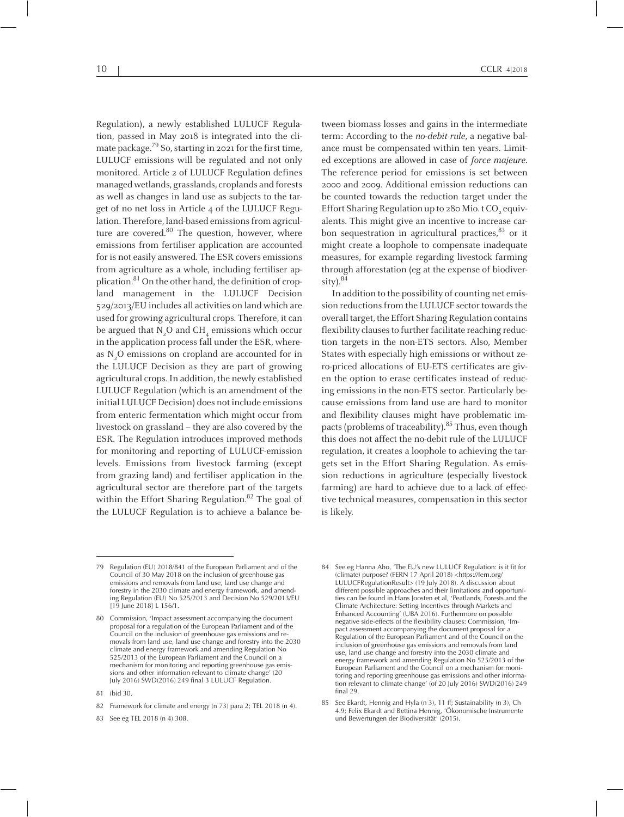Regulation), <sup>a</sup> newly established LULUCF Regulation, passed in May <sup>2018</sup> is integrated into the climate package.<sup>79</sup> So, starting in 2021 for the first time, LULUCF emissions will be regulated and not only monitored. Article <sup>2</sup> of LULUCF Regulation defines managed wetlands, grasslands, croplands and forests as well as changes in land use as subjects to the targe<sup>t</sup> of no net loss in Article 4 of the LULUCF Regulation. Therefore, land-based emissions from agriculture are covered.<sup>80</sup> The question, however, where emissions from fertiliser application are accounted for is not easily answered. The ESR covers emissions from agriculture as <sup>a</sup> whole, including fertiliser application.<sup>81</sup> On the other hand, the definition of cropland managemen<sup>t</sup> in the LULUCF Decision 529/2013/EU includes all activities on land which are used for growing agricultural crops. Therefore, it can be argued that  $N_2O$  and  $CH_4$  emissions which occur in the application process fall under the ESR, whereas N<sub>2</sub>O emissions on cropland are accounted for in the LULUCF Decision as they are par<sup>t</sup> of growing agricultural crops. In addition, the newly established LULUCF Regulation (which is an amendment of the initial LULUCF Decision) does not include emissions from enteric fermentation which might occur from livestock on grassland – they are also covered by the ESR. The Regulation introduces improved methods for monitoring and reporting of LULUCF-emission levels. Emissions from livestock farming (except from grazing land) and fertiliser application in the agricultural sector are therefore par<sup>t</sup> of the targets within the Effort Sharing Regulation. 82 The goal of the LULUCF Regulation is to achieve <sup>a</sup> balance be-

tween biomass losses and gains in the intermediate term: According to the no-debit rule, <sup>a</sup> negative balance must be compensated within ten years. Limited exceptions are allowed in case of force majeure. The reference period for emissions is set between <sup>2000</sup> and 2009. Additional emission reductions can be counted towards the reduction target under the Effort Sharing Regulation up to 280 Mio. t CO<sub>2</sub> equivalents. This might give an incentive to increase carbon sequestration in agricultural practices, 83 or it might create <sup>a</sup> loophole to compensate inadequate measures, for example regarding livestock farming through afforestation (eg at the expense of biodiversity). 84

In addition to the possibility of counting net emission reductions from the LULUCF sector towards the overall target, the Effort Sharing Regulation contains flexibility clauses to further facilitate reaching reduction targets in the non-ETS sectors. Also, Member States with especially high emissions or without zero-priced allocations of EU-ETS certificates are given the option to erase certificates instead of reducing emissions in the non-ETS sector. Particularly because emissions from land use are hard to monitor and flexibility clauses might have problematic impacts (problems of traceability).<sup>85</sup> Thus, even though this does not affect the no-debit rule of the LULUCF regulation, it creates <sup>a</sup> loophole to achieving the targets set in the Effort Sharing Regulation. As emission reductions in agriculture (especially livestock farming) are hard to achieve due to <sup>a</sup> lack of effective technical measures, compensation in this sector is likely.

- <sup>84</sup> See eg Hanna Aho, 'The EU's new LULUCF Regulation: is it fit for (climate) purpose? (FERN <sup>17</sup> April 2018) <https://fern.org/ LULUCFRegulationResult> (19 July 2018). <sup>A</sup> discussion about different possible approaches and their limitations and opportunities can be found in Hans Joosten et al, 'Peatlands, Forests and the Climate Architecture: Setting Incentives through Markets and Enhanced Accounting' (UBA 2016). Furthermore on possible negative side-effects of the flexibility clauses: Commission, 'Impac<sup>t</sup> assessment accompanying the document proposal for <sup>a</sup> Regulation of the European Parliament and of the Council on the inclusion of greenhouse gas emissions and removals from land use, land use change and forestry into the <sup>2030</sup> climate and energy framework and amending Regulation No 525/2013 of the European Parliament and the Council on <sup>a</sup> mechanism for monitoring and reporting greenhouse gas emissions and other information relevant to climate change' (of <sup>20</sup> July 2016) SWD(2016) <sup>249</sup> final 29.
- <sup>85</sup> See Ekardt, Hennig and Hyla (n 3), <sup>11</sup> ff; Sustainability (n 3), Ch 4.9; Felix Ekardt and Bettina Hennig, 'Ökonomische Instrumente und Bewertungen der Biodiversität' (2015).

<sup>79</sup> Regulation (EU) 2018/841 of the European Parliament and of the Council of <sup>30</sup> May <sup>2018</sup> on the inclusion of greenhouse gas emissions and removals from land use, land use change and forestry in the <sup>2030</sup> climate and energy framework, and amending Regulation (EU) No 525/2013 and Decision No 529/2013/EU [19 June 2018] L 156/1.

<sup>80</sup> Commission, 'Impact assessment accompanying the document proposal for <sup>a</sup> regulation of the European Parliament and of the Council on the inclusion of greenhouse gas emissions and removals from land use, land use change and forestry into the <sup>2030</sup> climate and energy framework and amending Regulation No 525/2013 of the European Parliament and the Council on <sup>a</sup> mechanism for monitoring and reporting greenhouse gas emissions and other information relevant to climate change' (20 July 2016) SWD(2016) <sup>249</sup> final <sup>3</sup> LULUCF Regulation.

<sup>81</sup> ibid 30.

<sup>82</sup> Framework for climate and energy (n 73) para 2; TEL <sup>2018</sup> (n 4).

<sup>83</sup> See eg TEL 2018 (n 4) 308.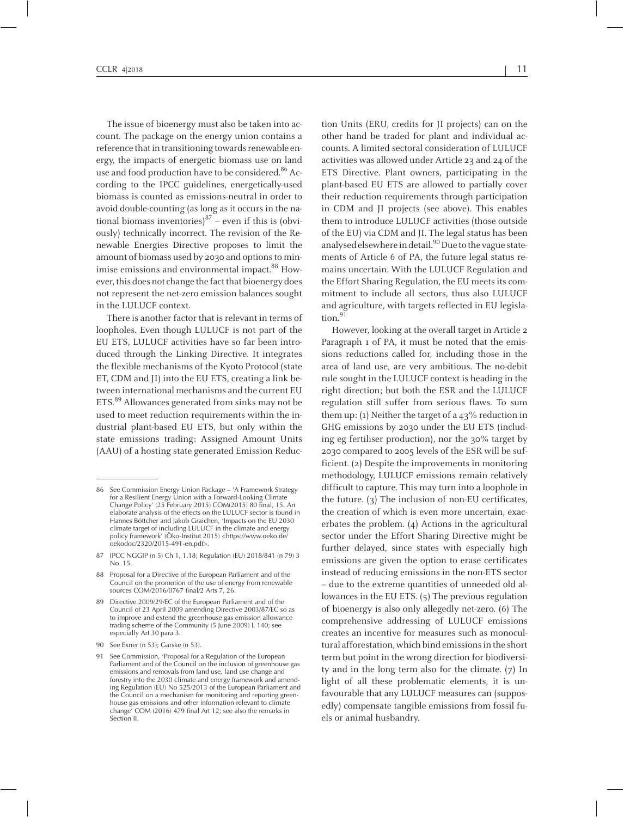The issue of bioenergy must also be taken into account. The package on the energy union contains <sup>a</sup> reference that in transitioning towards renewable energy, the impacts of energetic biomass use on land use and food production have to be considered.<sup>86</sup> According to the IPCC guidelines, energetically-used biomass is counted as emissions-neutral in order to avoid double-counting (as long as it occurs in the national biomass inventories) 87 – even if this is (obviously) technically incorrect. The revision of the Renewable Energies Directive proposes to limit the amount of biomass used by 2030 and options to minimise emissions and environmental impact.<sup>88</sup> However, this does not change the fact that bioenergy does not represen<sup>t</sup> the net-zero emission balances sought in the LULUCF context.

There is another factor that is relevant in terms of loopholes. Even though LULUCF is not par<sup>t</sup> of the EU ETS, LULUCF activities have so far been introduced through the Linking Directive. It integrates the flexible mechanisms of the Kyoto Protocol (state ET, CDM and JI) into the EU ETS, creating <sup>a</sup> link between international mechanisms and the current EU ETS.<sup>89</sup> Allowances generated from sinks may not be used to meet reduction requirements within the industrial plant-based EU ETS, but only within the state emissions trading: Assigned Amount Units (AAU) of <sup>a</sup> hosting state generated Emission Reduc-

90 See Exner (n 53); Garske (n 53).

tion Units (ERU, credits for JI projects) can on the other hand be traded for plant and individual accounts. Alimited sectoral consideration of LULUCF activities was allowed under Article 23 and 24 of the ETS Directive. Plant owners, participating in the plant-based EU ETS are allowed to partially cover their reduction requirements through participation in CDM and JI projects (see above). This enables them to introduce LULUCF activities (those outside of the EU) via CDM and JI. The legal status has been analysed elsewhere in detail.<sup>90</sup> Due to the vague statements of Article <sup>6</sup> of PA, the future legal status remains uncertain. With the LULUCF Regulation and the Effort Sharing Regulation, the EU meets its commitment to include all sectors, thus also LULUCF and agriculture, with targets reflected in EU legislation. 91

However, looking at the overall target in Article <sup>2</sup> Paragraph <sup>1</sup> of PA, it must be noted that the emissions reductions called for, including those in the area of land use, are very ambitious. The no-debit rule sought in the LULUCF context is heading in the right direction; but both the ESR and the LULUCF regulation still suffer from serious flaws. To sum them up: (1) Neither the target of a  $43\%$  reduction in GHG emissions by 2030 under the EU ETS (including eg fertiliser production), nor the 30% target by 2030 compared to 2005 levels of the ESR will be sufficient. (2) Despite the improvements in monitoring methodology, LULUCF emissions remain relatively difficult to capture. This may turn into <sup>a</sup> loophole in the future. (3) The inclusion of non-EU certificates, the creation of which is even more uncertain, exacerbates the problem. (4) Actions in the agricultural sector under the Effort Sharing Directive might be further delayed, since states with especially high emissions are given the option to erase certificates instead of reducing emissions in the non-ETS sector – due to the extreme quantities of unneeded old allowances in the EU ETS. (5) The previous regulation of bioenergy is also only allegedly net-zero. (6) The comprehensive addressing of LULUCF emissions creates an incentive for measures such as monocultural afforestation, which bind emissions in the short term but point in the wrong direction for biodiversity and in the long term also for the climate. (7) In light of all these problematic elements, it is unfavourable that any LULUCF measures can (supposedly) compensate tangible emissions from fossil fuels or animal husbandry.

<sup>86</sup> See Commission Energy Union Package – 'A Framework Strategy for <sup>a</sup> Resilient Energy Union with <sup>a</sup> Forward-Looking Climate Change Policy' (25 February 2015) COM(2015) <sup>80</sup> final, 15. An elaborate analysis of the effects on the LULUCF sector is found in Hannes Böttcher and Jakob Graichen, 'Impacts on the EU <sup>2030</sup> climate target of including LULUCF in the climate and energy policy framework' (Öko-Institut 2015) <https://www.oeko.de/ oekodoc/2320/2015-491-en.pdf>.

<sup>87</sup> IPCC NGGIP (n 5) Ch 1, 1.18; Regulation (EU) 2018/841 (n 79) <sup>3</sup> No. 15.

<sup>88</sup> Proposal for <sup>a</sup> Directive of the European Parliament and of the Council on the promotion of the use of energy from renewable sources COM/2016/0767 final/2 Arts 7, 26.

<sup>89</sup> Directive 2009/29/EC of the European Parliament and of the Council of <sup>23</sup> April <sup>2009</sup> amending Directive 2003/87/EC so as to improve and extend the greenhouse gas emission allowance trading scheme of the Community (5 June 2009) <sup>L</sup> 140; see especially Art <sup>30</sup> para 3.

<sup>91</sup> See Commission, 'Proposal for <sup>a</sup> Regulation of the European Parliament and of the Council on the inclusion of greenhouse gas emissions and removals from land use, land use change and forestry into the <sup>2030</sup> climate and energy framework and amending Regulation (EU) No 525/2013 of the European Parliament and the Council on <sup>a</sup> mechanism for monitoring and reporting greenhouse gas emissions and other information relevant to climate change' COM (2016) <sup>479</sup> final Art 12; see also the remarks in Section II.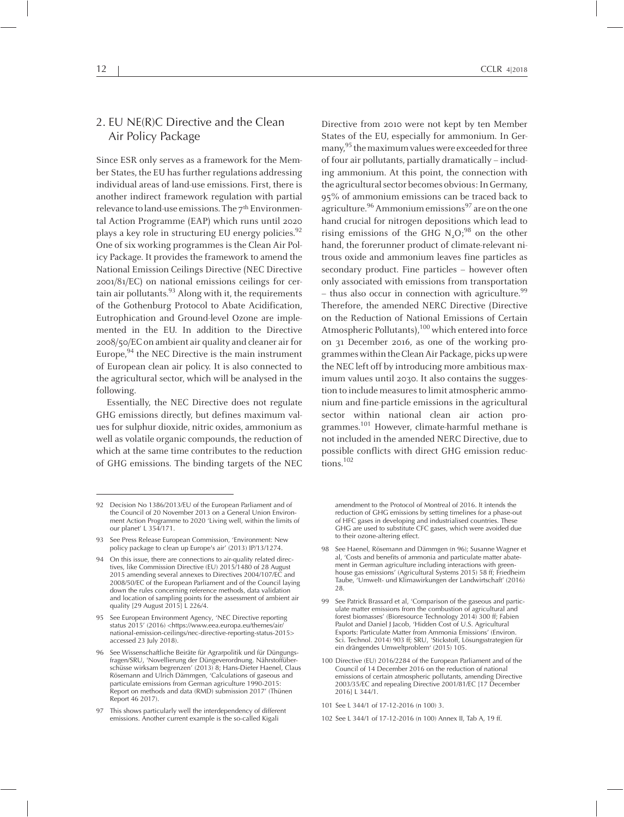## 2. EU NE(R)C Directive and the Clean Air Policy Package

Since ESR only serves as <sup>a</sup> framework for the Member States, the EU has further regulations addressing individual areas of land-use emissions. First, there is another indirect framework regulation with partial relevance to land-use emissions. The 7<sup>th</sup> Environmental Action Programme (EAP) which runs until <sup>2020</sup> plays <sup>a</sup> key role in structuring EU energy policies. 92 One of six working programmes is the Clean Air Policy Package. It provides the framework to amend the National Emission Ceilings Directive (NEC Directive 2001/81/EC) on national emissions ceilings for certain air pollutants.<sup>93</sup> Along with it, the requirements of the Gothenburg Protocol to Abate Acidification, Eutrophication and Ground-level Ozone are implemented in the EU. In addition to the Directive 2008/50/EC on ambient air quality and cleaner airfor Europe, 94 the NEC Directive is the main instrument of European clean air policy. It is also connected to the agricultural sector, which will be analysed in the following.

Essentially, the NEC Directive does not regulate GHG emissions directly, but defines maximum values for sulphur dioxide, nitric oxides, ammonium as well as volatile organic compounds, the reduction of which at the same time contributes to the reduction of GHG emissions. The binding targets of the NEC

Directive from <sup>2010</sup> were not kept by ten Member States of the EU, especially for ammonium. In Germany,  $^{95}$  the maximum values were exceeded for three of four air pollutants, partially dramatically – including ammonium. At this point, the connection with the agricultural sector becomes obvious: In Germany, 95% of ammonium emissions can be traced back to agriculture.<sup>96</sup> Ammonium emissions<sup>97</sup> are on the one hand crucial for nitrogen depositions which lead to rising emissions of the GHG  $\rm N_{2}O;^{98}$  on the other hand, the forerunner product of climate-relevant nitrous oxide and ammonium leaves fine particles as secondary product. Fine particles – however often only associated with emissions from transportation – thus also occur in connection with agriculture.<sup>99</sup> Therefore, the amended NERC Directive (Directive on the Reduction of National Emissions of Certain Atmospheric Pollutants),  $^{100}$  which entered into force on <sup>31</sup> December 2016, as one of the working programmeswithintheCleanAir Package, picks upwere the NEC left off by introducing more ambitious maximum values until 2030. It also contains the suggestion to include measures to limit atmospheric ammonium and fine-particle emissions in the agricultural sector within national clean air action programmes.<sup>101</sup> However, climate-harmful methane is not included in the amended NERC Directive, due to possible conflicts with direct GHG emission reductions. 102

amendment to the Protocol of Montreal of 2016. It intends the reduction of GHG emissions by setting timelines for <sup>a</sup> phase-out of HFC gases in developing and industrialised countries. These GHG are used to substitute CFC gases, which were avoided due to their ozone-altering effect.

- <sup>98</sup> See Haenel, Rösemann and Dämmgen (n 96); Susanne Wagner et al, 'Costs and benefits of ammonia and particulate matter abatement in German agriculture including interactions with greenhouse gas emissions' (Agricultural Systems 2015) <sup>58</sup> ff; Friedheim Taube, 'Umwelt- und Klimawirkungen der Landwirtschaft' (2016) 28.
- <sup>99</sup> See Patrick Brassard et al, 'Comparison of the gaseous and particulate matter emissions from the combustion of agricultural and forest biomasses' (Bioresource Technology 2014) <sup>300</sup> ff; Fabien Paulot and Daniel J Jacob, 'Hidden Cost of U.S. Agricultural Exports: Particulate Matter from Ammonia Emissions' (Environ. Sci. Technol. 2014) <sup>903</sup> ff; SRU, 'Stickstoff, Lösungsstrategien für ein drängendes Umweltproblem' (2015) 105.
- <sup>100</sup> Directive (EU) 2016/2284 of the European Parliament and of the Council of 14 December 2016 on the reduction of national emissions of certain atmospheric pollutants, amending Directive 2003/35/EC and repealing Directive 2001/81/EC [17 December 2016] L 344/1.

<sup>92</sup> Decision No 1386/2013/EU of the European Parliament and of the Council of 20 November 2013 on <sup>a</sup> General Union Environment Action Programme to 2020 'Living well, within the limits of our planet' <sup>L</sup> 354/171.

<sup>93</sup> See Press Release European Commission, 'Environment: New policy package to clean up Europe's air' (2013) IP/13/1274.

<sup>94</sup> On this issue, there are connections to air-quality related directives, like Commission Directive (EU) 2015/1480 of <sup>28</sup> August <sup>2015</sup> amending several annexes to Directives 2004/107/EC and 2008/50/EC of the European Parliament and of the Council laying down the rules concerning reference methods, data validation and location of sampling points for the assessment of ambient air quality [29 August 2015] <sup>L</sup> 226/4.

<sup>95</sup> See European Environment Agency, 'NEC Directive reporting status 2015' (2016) <https://www.eea.europa.eu/themes/air/ national-emission-ceilings/nec-directive-reporting-status-2015> accessed <sup>23</sup> July 2018).

<sup>96</sup> See Wissenschaftliche Beiräte für Agrarpolitik und für Düngungsfragen/SRU, 'Novellierung der Düngeverordnung. Nährstoffüberschüsse wirksam begrenzen' (2013) 8; Hans-Dieter Haenel, Claus Rösemann and Ulrich Dämmgen, 'Calculations of gaseous and particulate emissions from German agriculture 1990-2015: Report on methods and data (RMD) submission 2017' (Thünen Report 46 2017).

<sup>97</sup> This shows particularly well the interdependency of different emissions. Another current example is the so-called Kigali

<sup>101</sup> See L 344/1 of 17-12-2016 (n 100) 3.

<sup>102</sup> See L 344/1 of 17-12-2016 (n 100) Annex II, Tab A, 19 ff.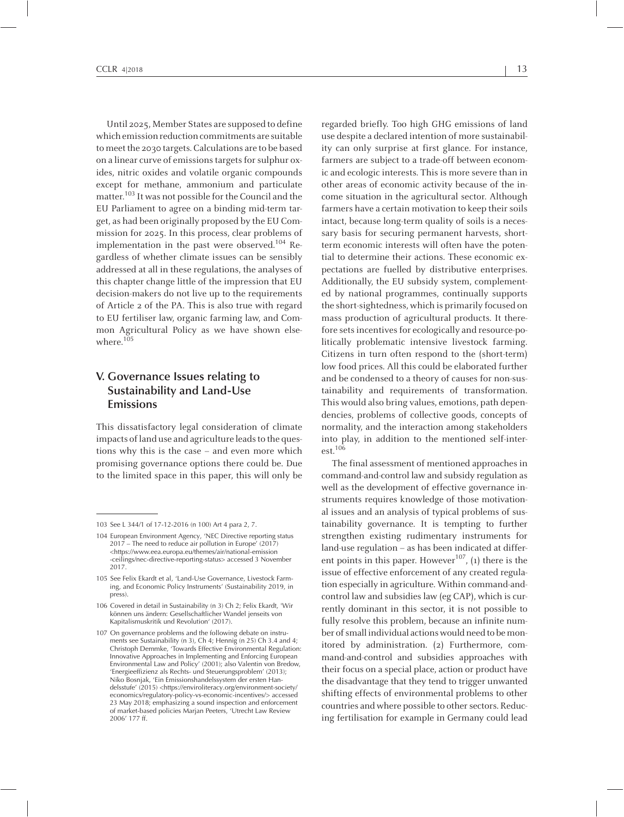Until 2025, Member States are supposed to define which emission reduction commitments are suitable tomeet the 2030 targets. Calculations are to be based on a linear curve of emissions targets for sulphur oxides, nitric oxides and volatile organic compounds excep<sup>t</sup> for methane, ammonium and particulate matter.<sup>103</sup> It was not possible for the Council and the EU Parliament to agree on <sup>a</sup> binding mid-term target, as had been originally proposed by the EU Commission for 2025. In this process, clear problems of implementation in the past were observed.<sup>104</sup> Regardless of whether climate issues can be sensibly addressed at all in these regulations, the analyses of this chapter change little of the impression that EU decision-makers do not live up to the requirements of Article <sup>2</sup> of the PA. This is also true with regard to EU fertiliser law, organic farming law, and Common Agricultural Policy as we have shown elsewhere. 105

# **V. Governance Issues relating to Sustainability and Land-Use Emissions**

This dissatisfactory legal consideration of climate impacts of land use and agriculture leads to the questions why this is the case – and even more which promising governance options there could be. Due to the limited space in this paper, this will only be

regarded briefly. Too high GHG emissions of land use despite a declared intention of more sustainability can only surprise at first glance. For instance, farmers are subject to <sup>a</sup> trade-off between economic and ecologic interests. This is more severe than in other areas of economic activity because of the income situation in the agricultural sector. Although farmers have a certain motivation to keep their soils intact, because long-term quality of soils is <sup>a</sup> necessary basis for securing permanen<sup>t</sup> harvests, shortterm economic interests will often have the potential to determine their actions. These economic expectations are fuelled by distributive enterprises. Additionally, the EU subsidy system, complemented by national programmes, continually supports the short-sightedness, which is primarily focused on mass production of agricultural products. It therefore sets incentives for ecologically and resource-politically problematic intensive livestock farming. Citizens in turn often respond to the (short-term) low food prices. All this could be elaborated further and be condensed to <sup>a</sup> theory of causes for non-sustainability and requirements of transformation. This would also bring values, emotions, path dependencies, problems of collective goods, concepts of normality, and the interaction among stakeholders into play, in addition to the mentioned self-interest. 106

The final assessment of mentioned approaches in command-and-control law and subsidy regulation as well as the development of effective governance instruments requires knowledge of those motivational issues and an analysis of typical problems of sustainability governance. It is tempting to further strengthen existing rudimentary instruments for land-use regulation – as has been indicated at different points in this paper. However<sup>107</sup>, (1) there is the issue of effective enforcement of any created regulation especially in agriculture. Within command-andcontrol law and subsidies law (eg CAP), which is currently dominant in this sector, it is not possible to fully resolve this problem, because an infinite number of small individual actions would need to be monitored by administration. (2) Furthermore, command-and-control and subsidies approaches with their focus on <sup>a</sup> special place, action or product have the disadvantage that they tend to trigger unwanted shifting effects of environmental problems to other countries and where possible to other sectors. Reducing fertilisation for example in Germany could lead

<sup>103</sup> See <sup>L</sup> 344/1 of 17-12-2016 (n 100) Art <sup>4</sup> para 2, 7.

<sup>104</sup> European Environment Agency, 'NEC Directive reporting status <sup>2017</sup> – The need to reduce air pollution in Europe' (2017) <https://www.eea.europa.eu/themes/air/national-emission -ceilings/nec-directive-reporting-status> accessed <sup>3</sup> November 2017.

<sup>105</sup> See Felix Ekardt et al, 'Land-Use Governance, Livestock Farming, and Economic Policy Instruments' (Sustainability 2019, in press).

<sup>106</sup> Covered in detail in Sustainability (n 3) Ch 2; Felix Ekardt, 'Wir können uns ändern: Gesellschaftlicher Wandel jenseits von Kapitalismuskritik und Revolution' (2017).

<sup>107</sup> On governance problems and the following debate on instruments see Sustainability (n 3), Ch 4; Hennig (n 25) Ch 3.4 and 4; Christoph Demmke, 'Towards Effective Environmental Regulation: Innovative Approaches in Implementing and Enforcing European Environmental Law and Policy' (2001); also Valentin von Bredow, 'Energieeffizienz als Rechts- und Steuerungsproblem' (2013); Niko Bosnjak, 'Ein Emissionshandelssystem der ersten Handelsstufe' (2015) <https://enviroliteracy.org/environment-society/ economics/regulatory-policy-vs-economic-incentives/> accessed 23 May 2018; emphasizing a sound inspection and enforcement of market-based policies Marjan Peeters, 'Utrecht Law Review 2006' 177 ff.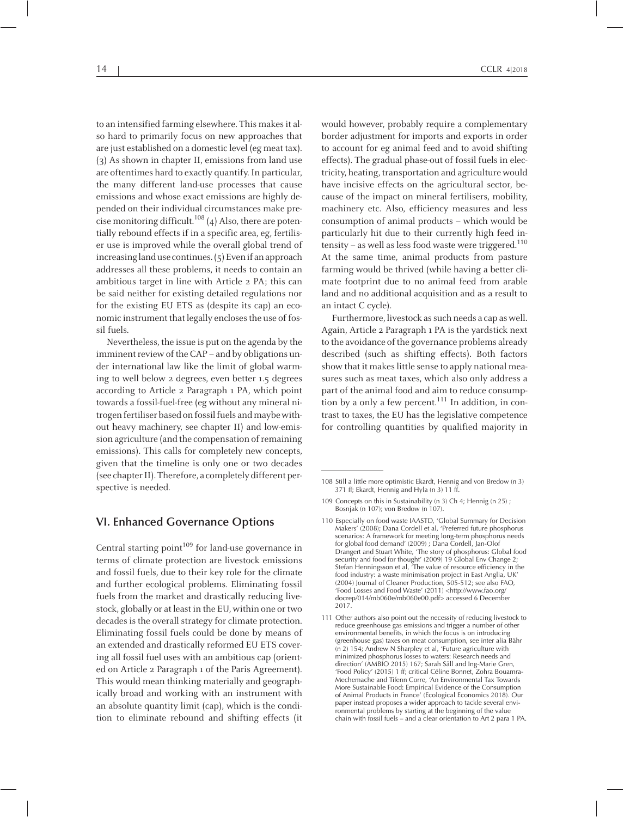to an intensified farming elsewhere. This makes it also hard to primarily focus on new approaches that are just established on a domestic level (eg meat tax). (3) As shown in chapter II, emissions from land use are oftentimes hard to exactly quantify. In particular, the many different land-use processes that cause emissions and whose exact emissions are highly depended on their individual circumstances make precise monitoring difficult. $^{108}\left(4\right)$  Also, there are potentially rebound effects if in <sup>a</sup> specific area, eg, fertiliser use is improved while the overall global trend of increasing land use continues.  $(5)$  Even if an approach addresses all these problems, it needs to contain an ambitious target in line with Article <sup>2</sup> PA; this can be said neither for existing detailed regulations nor for the existing EU ETS as (despite its cap) an economic instrument that legally encloses the use of fossil fuels.

Nevertheless, the issue is pu<sup>t</sup> on the agenda by the imminent review of the  $CAP$  – and by obligations under international law like the limit of global warming to well below <sup>2</sup> degrees, even better 1.5 degrees according to Article <sup>2</sup> Paragraph <sup>1</sup> PA, which point towards <sup>a</sup> fossil-fuel-free (eg without any mineral nitrogen fertiliser based on fossil fuels and maybe without heavy machinery, see chapter II) and low-emission agriculture (and the compensation of remaining emissions). This calls for completely new concepts, given that the timeline is only one or two decades (see chapter II). Therefore, a completely different perspective is needed.

#### **VI. Enhanced Governance Options**

Central starting point<sup>109</sup> for land-use governance in terms of climate protection are livestock emissions and fossil fuels, due to their key role for the climate and further ecological problems. Eliminating fossil fuels from the market and drastically reducing livestock, globally or at least in the EU, within one or two decades is the overall strategy for climate protection. Eliminating fossil fuels could be done by means of an extended and drastically reformed EU ETS covering all fossil fuel uses with an ambitious cap (oriented on Article <sup>2</sup> Paragraph <sup>1</sup> of the Paris Agreement). This would mean thinking materially and geographically broad and working with an instrument with an absolute quantity limit (cap), which is the condition to eliminate rebound and shifting effects (it

would however, probably require <sup>a</sup> complementary border adjustment for imports and exports in order to account for eg animal feed and to avoid shifting effects). The gradual phase-out of fossil fuels in electricity, heating, transportation and agriculture would have incisive effects on the agricultural sector, because of the impact on mineral fertilisers, mobility, machinery etc. Also, efficiency measures and less consumption of animal products – which would be particularly hit due to their currently high feed intensity – as well as less food waste were triggered. $^{110}$ At the same time, animal products from pasture farming would be thrived (while having <sup>a</sup> better climate footprint due to no animal feed from arable land and no additional acquisition and as <sup>a</sup> result to an intact <sup>C</sup> cycle).

Furthermore, livestock as such needs a cap as well. Again, Article <sup>2</sup> Paragraph <sup>1</sup> PA is the yardstick next to the avoidance of the governance problems already described (such as shifting effects). Both factors show that it makes little sense to apply national measures such as meat taxes, which also only address <sup>a</sup> par<sup>t</sup> of the animal food and aim to reduce consumption by a only a few percent.<sup>111</sup> In addition, in contrast to taxes, the EU has the legislative competence for controlling quantities by qualified majority in

<sup>108</sup> Still <sup>a</sup> little more optimistic Ekardt, Hennig and von Bredow (n 3) <sup>371</sup> ff; Ekardt, Hennig and Hyla (n 3) <sup>11</sup> ff.

<sup>109</sup> Concepts on this in Sustainability (n 3) Ch 4; Hennig (n 25) ; Bosnjak (n 107); von Bredow (n 107).

<sup>110</sup> Especially on food waste IAASTD, 'Global Summary for Decision Makers' (2008); Dana Cordell et al, 'Preferred future phosphorus scenarios: <sup>A</sup> framework for meeting long-term phosphorus needs for global food demand' (2009) ; Dana Cordell, Jan-Olof Drangert and Stuart White, 'The story of phosphorus: Global food security and food for thought' (2009) <sup>19</sup> Global Env Change 2; Stefan Henningsson et al, 'The value of resource efficiency in the food industry: <sup>a</sup> waste minimisation project in East Anglia, UK' (2004) Journal of Cleaner Production, 505-512; see also FAO, 'Food Losses and Food Waste' (2011) <http://www.fao.org/ docrep/014/mb060e/mb060e00.pdf> accessed <sup>6</sup> December 2017.

<sup>111</sup> Other authors also point out the necessity of reducing livestock to reduce greenhouse gas emissions and trigger <sup>a</sup> number of other environmental benefits, in which the focus is on introducing (greenhouse gas) taxes on meat consumption, see inter alia Bähr (n 2) 154; Andrew <sup>N</sup> Sharpley et al, 'Future agriculture with minimized phosphorus losses to waters: Research needs and direction' (AMBIO 2015) 167; Sarah Säll and Ing-Marie Gren, 'Food Policy' (2015) <sup>1</sup> ff; critical Céline Bonnet, Zohra Bouamra-Mechemache and Tifenn Corre, 'An Environmental Tax Towards More Sustainable Food: Empirical Evidence of the Consumption of Animal Products in France' (Ecological Economics 2018). Our paper instead proposes <sup>a</sup> wider approach to tackle several environmental problems by starting at the beginning of the value chain with fossil fuels – and <sup>a</sup> clear orientation to Art <sup>2</sup> para <sup>1</sup> PA.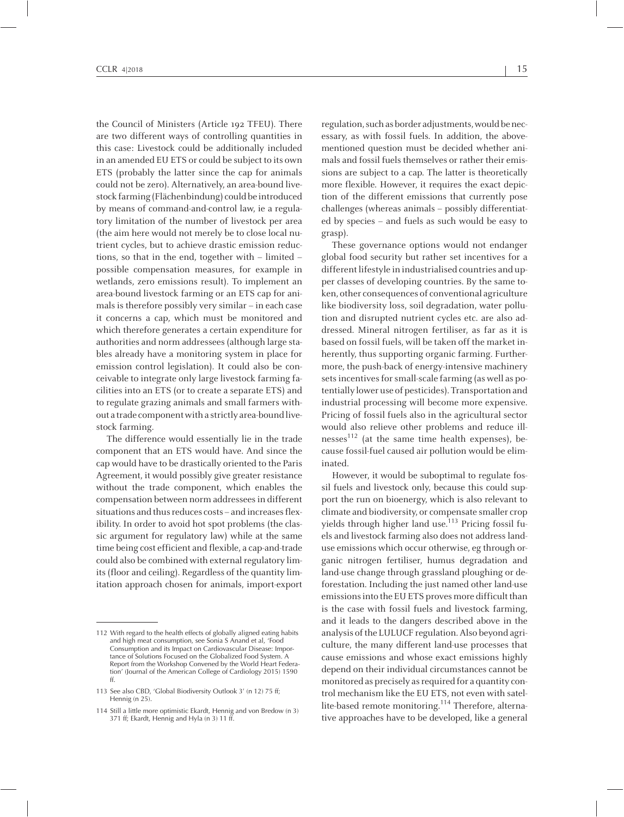the Council of Ministers (Article 192 TFEU). There are two different ways of controlling quantities in this case: Livestock could be additionally included in an amended EU ETS or could be subject to its own ETS (probably the latter since the cap for animals could not be zero). Alternatively, an area-bound livestock farming (Flächenbindung) could be introduced by means of command-and-control law, ie <sup>a</sup> regulatory limitation of the number of livestock per area (the aim here would not merely be to close local nutrient cycles, but to achieve drastic emission reductions, so that in the end, together with – limited – possible compensation measures, for example in wetlands, zero emissions result). To implement an area-bound livestock farming or an ETS cap for animals is therefore possibly very similar – in each case it concerns <sup>a</sup> cap, which must be monitored and which therefore generates <sup>a</sup> certain expenditure for authorities and normaddressees(although large stables already have <sup>a</sup> monitoring system in place for emission control legislation). It could also be conceivable to integrate only large livestock farming facilities into an ETS (or to create <sup>a</sup> separate ETS) and to regulate grazing animals and small farmers without a trade component with a strictly area-bound livestock farming.

The difference would essentially lie in the trade componen<sup>t</sup> that an ETS would have. And since the cap would have to be drastically oriented to the Paris Agreement, it would possibly give greater resistance without the trade component, which enables the compensation between normaddresseesin different situations and thus reduces costs – and increases flexibility. In order to avoid hot spo<sup>t</sup> problems (the classic argumen<sup>t</sup> for regulatory law) while at the same time being cost efficient and flexible, <sup>a</sup> cap-and-trade could also be combined with external regulatory limits(floor and ceiling). Regardless of the quantity limitation approach chosen for animals, import-export

regulation, such as border adjustments, would be necessary, as with fossil fuels. In addition, the abovementioned question must be decided whether animals and fossil fuels themselves or rather their emissions are subject to <sup>a</sup> cap. The latter is theoretically more flexible. However, it requires the exact depiction of the different emissions that currently pose challenges (whereas animals – possibly differentiated by species – and fuels as such would be easy to grasp).

These governance options would not endanger global food security but rather set incentives for <sup>a</sup> different lifestyle in industrialised countries and upper classes of developing countries. By the same token, other consequences of conventional agriculture like biodiversity loss, soil degradation, water pollution and disrupted nutrient cycles etc. are also addressed. Mineral nitrogen fertiliser, as far as it is based on fossil fuels, will be taken off the market inherently, thus supporting organic farming. Furthermore, the push-back of energy-intensive machinery sets incentives for small-scale farming (as well as potentially lower use of pesticides). Transportation and industrial processing will become more expensive. Pricing of fossil fuels also in the agricultural sector would also relieve other problems and reduce illnesses<sup>112</sup> (at the same time health expenses), because fossil-fuel caused air pollution would be eliminated.

However, it would be suboptimal to regulate fossil fuels and livestock only, because this could suppor<sup>t</sup> the run on bioenergy, which is also relevant to climate and biodiversity, or compensate smaller crop yields through higher land use.<sup>113</sup> Pricing fossil fuels and livestock farming also does not address landuse emissions which occur otherwise, eg through organic nitrogen fertiliser, humus degradation and land-use change through grassland ploughing or deforestation. Including the just named other land-use emissions into the EU ETS proves more difficult than is the case with fossil fuels and livestock farming, and it leads to the dangers described above in the analysis of the LULUCF regulation. Also beyond agriculture, the many different land-use processes that cause emissions and whose exact emissions highly depend on their individual circumstances cannot be monitored as precisely as required for a quantity control mechanism like the EU ETS, not even with satellite-based remote monitoring. 114 Therefore, alternative approaches have to be developed, like <sup>a</sup> general

<sup>112</sup> With regard to the health effects of globally aligned eating habits and high meat consumption, see Sonia <sup>S</sup> Anand et al, 'Food Consumption and its Impact on Cardiovascular Disease: Importance of Solutions Focused on the Globalized Food System. <sup>A</sup> Report from the Workshop Convened by the World Heart Federation' (Journal of the American College of Cardiology 2015) <sup>1590</sup> ff.

<sup>113</sup> See also CBD, 'Global Biodiversity Outlook 3' (n 12) <sup>75</sup> ff; Hennig (n 25).

<sup>114</sup> Still <sup>a</sup> little more optimistic Ekardt, Hennig and von Bredow (n 3) <sup>371</sup> ff; Ekardt, Hennig and Hyla (n 3) <sup>11</sup> ff.